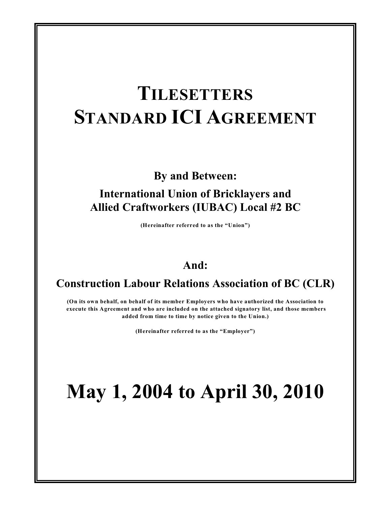# **TILESETTERS STANDARD ICI AGREEMENT**

**By and Between:**

## **International Union of Bricklayers and Allied Craftworkers (IUBAC) Local #2 BC**

**(Hereinafter referred to as the "Union")**

## **And:**

### **Construction Labour Relations Association of BC (CLR)**

**(On its own behalf, on behalf of its member Employers who have authorized the Association to execute this Agreement and who are included on the attached signatory list, and those members added from time to time by notice given to the Union.)**

**(Hereinafter referred to as the "Employer")**

# **May 1, 2004 to April 30, 2010**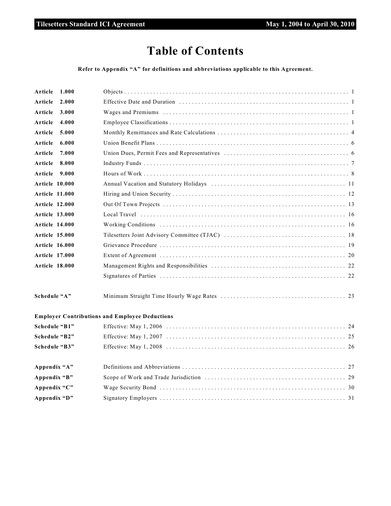# **Table of Contents**

**Refer to Appendix "A" for definitions and abbreviations applicable to this Agreement.**

| Article               | 1.000 |                                                       |
|-----------------------|-------|-------------------------------------------------------|
| Article               | 2.000 |                                                       |
| Article               | 3.000 |                                                       |
| Article               | 4.000 |                                                       |
| Article               | 5.000 |                                                       |
| Article               | 6.000 |                                                       |
| Article               | 7.000 |                                                       |
| Article               | 8.000 |                                                       |
| Article               | 9.000 |                                                       |
| Article 10.000        |       |                                                       |
| <b>Article 11.000</b> |       |                                                       |
| <b>Article 12.000</b> |       |                                                       |
| <b>Article 13.000</b> |       |                                                       |
| <b>Article 14.000</b> |       |                                                       |
| <b>Article 15.000</b> |       |                                                       |
| <b>Article 16.000</b> |       |                                                       |
| <b>Article 17.000</b> |       |                                                       |
| <b>Article 18.000</b> |       |                                                       |
|                       |       |                                                       |
| Schedule "A"          |       |                                                       |
|                       |       | <b>Employer Contributions and Employee Deductions</b> |
| Schedule "B1"         |       |                                                       |
| Schedule "B2"         |       |                                                       |
| Schedule "B3"         |       |                                                       |
| Appendix "A"          |       |                                                       |
| Appendix "B"          |       |                                                       |
| Appendix "C"          |       |                                                       |
| Appendix "D"          |       |                                                       |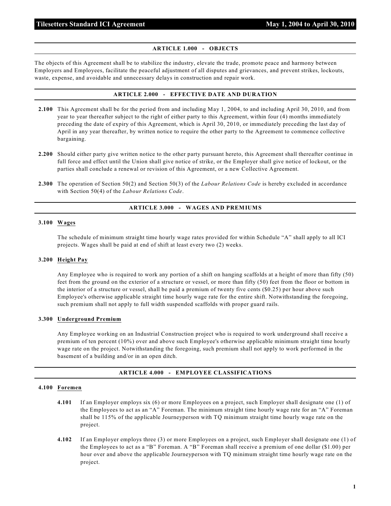#### **ARTICLE 1.000 - OBJECTS**

The objects of this Agreement shall be to stabilize the industry, elevate the trade, promote peace and harmony between Employers and Employees, facilitate the peaceful adjustment of all disputes and grievances, and prevent strikes, lockouts, waste, expense, and avoidable and unnecessary delays in construction and repair work.

#### **ARTICLE 2.000 - EFFECTIVE DATE AND DURATION**

- **2.100** This Agreement shall be for the period from and including May 1, 2004, to and including April 30, 2010, and from year to year thereafter subject to the right of either party to this Agreement, within four (4) months immediately preceding the date of expiry of this Agreement, which is April 30, 2010, or immediately preceding the last day of April in any year thereafter, by written notice to require the other party to the Agreement to commence collective bargaining.
- **2.200** Should either party give written notice to the other party pursuant hereto, this Agreement shall thereafter continue in full force and effect until the Union shall give notice of strike, or the Employer shall give notice of lockout, or the parties shall conclude a renewal or revision of this Agreement, or a new Collective Agreement.
- **2.300** The operation of Section 50(2) and Section 50(3) of the *Labour Relations Code* is hereby excluded in accordance with Section 50(4) of the *Labour Relations Code*.

#### **ARTICLE 3.000 - WAGES AND PREMIUMS**

#### **3.100 Wages**

The schedule of minimum straight time hourly wage rates provided for within Schedule "A" shall apply to all ICI projects. Wages shall be paid at end of shift at least every two (2) weeks.

#### **3.200 Height Pay**

Any Employee who is required to work any portion of a shift on hanging scaffolds at a height of more than fifty (50) feet from the ground on the exterior of a structure or vessel, or more than fifty (50) feet from the floor or bottom in the interior of a structure or vessel, shall be paid a premium of twenty five cents (\$0.25) per hour above such Employee's otherwise applicable straight time hourly wage rate for the entire shift. Notwithstanding the foregoing, such premium shall not apply to full width suspended scaffolds with proper guard rails.

#### **3.300 Underground Premium**

Any Employee working on an Industrial Construction project who is required to work underground shall receive a premium of ten percent (10%) over and above such Employee's otherwise applicable minimum straight time hourly wage rate on the project. Notwithstanding the foregoing, such premium shall not apply to work performed in the basement of a building and/or in an open ditch.

#### **ARTICLE 4.000 - EMPLOYEE CLASSIFICATIONS**

#### **4.100 Foremen**

- **4.101** If an Employer employs six (6) or more Employees on a project, such Employer shall designate one (1) of the Employees to act as an "A" Foreman. The minimum straight time hourly wage rate for an "A" Foreman shall be 115% of the applicable Journeyperson with TQ minimum straight time hourly wage rate on the project.
- **4.102** If an Employer employs three (3) or more Employees on a project, such Employer shall designate one (1) of the Employees to act as a "B" Foreman. A "B" Foreman shall receive a premium of one dollar (\$1.00) per hour over and above the applicable Journeyperson with TQ minimum straight time hourly wage rate on the project.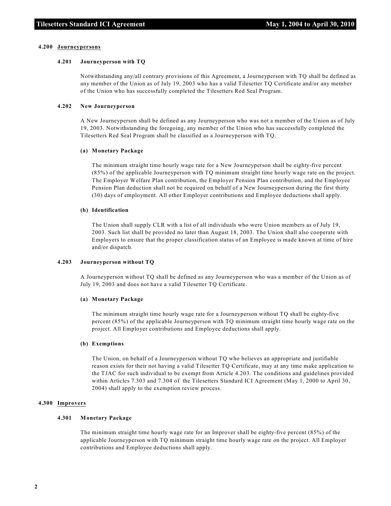#### **4.200 Journeypersons**

#### **4.201 Journeyperson with TQ**

Notwithstanding any/all contrary provisions of this Agreement, a Journeyperson with TQ shall be defined as any member of the Union as of July 19, 2003 who has a valid Tilesetter TQ Certificate and/or any member of the Union who has successfully completed the Tilesetters Red Seal Program.

#### **4.202 New Journeyperson**

A New Journeyperson shall be defined as any Journeyperson who was not a member of the Union as of July 19, 2003. Notwithstanding the foregoing, any member of the Union who has successfully completed the Tilesetters Red Seal Program shall be classified as a Journeyperson with TQ.

#### **(a) Monetary Package**

The minimum straight time hourly wage rate for a New Journeyperson shall be eighty-five percent (85%) of the applicable Journeyperson with TQ minimum straight time hourly wage rate on the project. The Employer Welfare Plan contribution, the Employer Pension Plan contribution, and the Employee Pension Plan deduction shall not be required on behalf of a New Journeyperson during the first thirty (30) days of employment. All other Employer contributions and Employee deductions shall apply.

#### **(b) Identification**

The Union shall supply CLR with a list of all individuals who were Union members as of July 19, 2003. Such list shall be provided no later than August 18, 2003. The Union shall also cooperate with Employers to ensure that the proper classification status of an Employee is made known at time of hire and/or dispatch.

#### **4.203 Journeyperson without TQ**

A Journeyperson without TQ shall be defined as any Journeyperson who was a member of the Union as of July 19, 2003 and does not have a valid Tilesetter TQ Certificate.

#### **(a) Monetary Package**

The minimum straight time hourly wage rate for a Journeyperson without TQ shall be eighty-five percent (85%) of the applicable Journeyperson with TQ minimum straight time hourly wage rate on the project. All Employer contributions and Employee deductions shall apply.

#### **(b) Exemptions**

The Union, on behalf of a Journeyperson without TQ who believes an appropriate and justifiable reason exists for their not having a valid Tilesetter TQ Certificate, may at any time make application to the TJAC for such individual to be exempt from Article 4.203. The conditions and guidelines provided within Articles 7.303 and 7.304 of the Tilesetters Standard ICI Agreement (May 1, 2000 to April 30, 2004) shall apply to the exemption review process.

#### **4.300 Improvers**

#### **4.301 Monetary Package**

The minimum straight time hourly wage rate for an Improver shall be eighty-five percent (85%) of the applicable Journeyperson with TQ minimum straight time hourly wage rate on the project. All Employer contributions and Employee deductions shall apply.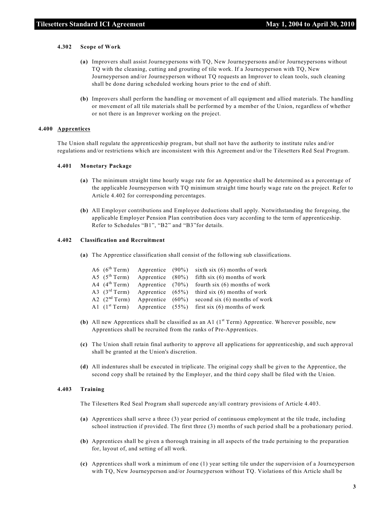#### **4.302 Scope of Work**

- **(a)** Improvers shall assist Journeypersons with TQ, New Journeypersons and/or Journeypersons without TQ with the cleaning, cutting and grouting of tile work. If a Journeyperson with TQ, New Journeyperson and/or Journeyperson without TQ requests an Improver to clean tools, such cleaning shall be done during scheduled working hours prior to the end of shift.
- **(b)** Improvers shall perform the handling or movement of all equipment and allied materials. The handling or movement of all tile materials shall be performed by a member of the Union, regardless of whether or not there is an Improver working on the project.

#### **4.400 Apprentices**

The Union shall regulate the apprenticeship program, but shall not have the authority to institute rules and/or regulations and/or restrictions which are inconsistent with this Agreement and/or the Tilesetters Red Seal Program.

#### **4.401 Monetary Package**

- **(a)** The minimum straight time hourly wage rate for an Apprentice shall be determined as a percentage of the applicable Journeyperson with TQ minimum straight time hourly wage rate on the project. Refer to Article 4.402 for corresponding percentages.
- **(b)** All Employer contributions and Employee deductions shall apply. Notwithstanding the foregoing, the applicable Employer Pension Plan contribution does vary according to the term of apprenticeship. Refer to Schedules "B1", "B2" and "B3"for details.

#### **4.402 Classification and Recruitment**

**(a)** The Apprentice classification shall consist of the following sub classifications.

|  |  | A6 $(6th Term)$ Apprentice (90%) sixth six (6) months of work            |
|--|--|--------------------------------------------------------------------------|
|  |  | A5 ( $5^{\text{th}}$ Term) Apprentice (80%) fifth six (6) months of work |
|  |  | A4 $(4th Term)$ Apprentice $(70%)$ fourth six (6) months of work         |
|  |  | A3 $(3rd Term)$ Apprentice $(65%)$ third six (6) months of work          |
|  |  | A2 $(2nd Term)$ Apprentice $(60%)$ second six (6) months of work         |
|  |  | A1 $(1^{st}$ Term) Apprentice $(55%)$ first six (6) months of work       |

- **(b)** All new Apprentices shall be classified as an A1  $(1<sup>st</sup> Term)$  Apprentice. Wherever possible, new Apprentices shall be recruited from the ranks of Pre-Apprentices.
- **(c)** The Union shall retain final authority to approve all applications for apprenticeship, and such approval shall be granted at the Union's discretion.
- **(d)** All indentures shall be executed in triplicate. The original copy shall be given to the Apprentice, the second copy shall be retained by the Employer, and the third copy shall be filed with the Union.

#### **4.403 Training**

The Tilesetters Red Seal Program shall supercede any/all contrary provisions of Article 4.403.

- **(a)** Apprentices shall serve a three (3) year period of continuous employment at the tile trade, including school instruction if provided. The first three (3) months of such period shall be a probationary period.
- **(b)** Apprentices shall be given a thorough training in all aspects of the trade pertaining to the preparation for, layout of, and setting of all work.
- **(c)** Apprentices shall work a minimum of one (1) year setting tile under the supervision of a Journeyperson with TQ, New Journeyperson and/or Journeyperson without TQ. Violations of this Article shall be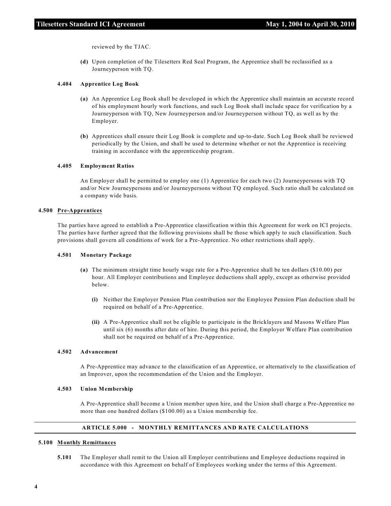reviewed by the TJAC.

**(d)** Upon completion of the Tilesetters Red Seal Program, the Apprentice shall be reclassified as a Journeyperson with TQ.

#### **4.404 Apprentice Log Book**

- **(a)** An Apprentice Log Book shall be developed in which the Apprentice shall maintain an accurate record of his employment hourly work functions, and such Log Book shall include space for verification by a Journeyperson with TQ, New Journeyperson and/or Journeyperson without TQ, as well as by the Employer.
- **(b)** Apprentices shall ensure their Log Book is complete and up-to-date. Such Log Book shall be reviewed periodically by the Union, and shall be used to determine whether or not the Apprentice is receiving training in accordance with the apprenticeship program.

#### **4.405 Employment Ratios**

An Employer shall be permitted to employ one (1) Apprentice for each two (2) Journeypersons with TQ and/or New Journeypersons and/or Journeypersons without TQ employed. Such ratio shall be calculated on a company wide basis.

#### **4.500 Pre-Apprentices**

The parties have agreed to establish a Pre-Apprentice classification within this Agreement for work on ICI projects. The parties have further agreed that the following provisions shall be those which apply to such classification. Such provisions shall govern all conditions of work for a Pre-Apprentice. No other restrictions shall apply.

#### **4.501 Monetary Package**

- **(a)** The minimum straight time hourly wage rate for a Pre-Apprentice shall be ten dollars (\$10.00) per hour. All Employer contributions and Employee deductions shall apply, except as otherwise provided below.
	- **(i)** Neither the Employer Pension Plan contribution nor the Employee Pension Plan deduction shall be required on behalf of a Pre-Apprentice.
	- **(ii)** A Pre-Apprentice shall not be eligible to participate in the Bricklayers and Masons Welfare Plan until six (6) months after date of hire. During this period, the Employer Welfare Plan contribution shall not be required on behalf of a Pre-Apprentice.

#### **4.502 Advancement**

A Pre-Apprentice may advance to the classification of an Apprentice, or alternatively to the classification of an Improver, upon the recommendation of the Union and the Employer.

#### **4.503 Union Membership**

A Pre-Apprentice shall become a Union member upon hire, and the Union shall charge a Pre-Apprentice no more than one hundred dollars (\$100.00) as a Union membership fee.

### **ARTICLE 5.000 - MONTHLY REMITTANCES AND RATE CALCULATIONS**

#### **5.100 Monthly Remittances**

**5.101** The Employer shall remit to the Union all Employer contributions and Employee deductions required in accordance with this Agreement on behalf of Employees working under the terms of this Agreement.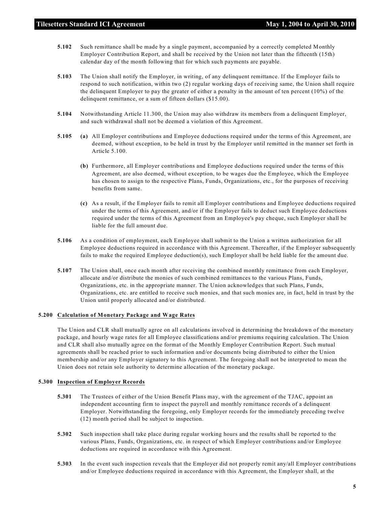- **5.102** Such remittance shall be made by a single payment, accompanied by a correctly completed Monthly Employer Contribution Report, and shall be received by the Union not later than the fifteenth (15th) calendar day of the month following that for which such payments are payable.
- **5.103** The Union shall notify the Employer, in writing, of any delinquent remittance. If the Employer fails to respond to such notification, within two (2) regular working days of receiving same, the Union shall require the delinquent Employer to pay the greater of either a penalty in the amount of ten percent (10%) of the delinquent remittance, or a sum of fifteen dollars (\$15.00).
- **5.104** Notwithstanding Article 11.300, the Union may also withdraw its members from a delinquent Employer, and such withdrawal shall not be deemed a violation of this Agreement.
- **5.105 (a)** All Employer contributions and Employee deductions required under the terms of this Agreement, are deemed, without exception, to be held in trust by the Employer until remitted in the manner set forth in Article 5.100.
	- **(b)** Furthermore, all Employer contributions and Employee deductions required under the terms of this Agreement, are also deemed, without exception, to be wages due the Employee, which the Employee has chosen to assign to the respective Plans, Funds, Organizations, etc., for the purposes of receiving benefits from same.
	- **(c)** As a result, if the Employer fails to remit all Employer contributions and Employee deductions required under the terms of this Agreement, and/or if the Employer fails to deduct such Employee deductions required under the terms of this Agreement from an Employee's pay cheque, such Employer shall be liable for the full amount due.
- **5.106** As a condition of employment, each Employee shall submit to the Union a written authorization for all Employee deductions required in accordance with this Agreement. Thereafter, if the Employer subsequently fails to make the required Employee deduction(s), such Employer shall be held liable for the amount due.
- **5.107** The Union shall, once each month after receiving the combined monthly remittance from each Employer, allocate and/or distribute the monies of such combined remittances to the various Plans, Funds, Organizations, etc. in the appropriate manner. The Union acknowledges that such Plans, Funds, Organizations, etc. are entitled to receive such monies, and that such monies are, in fact, held in trust by the Union until properly allocated and/or distributed.

#### **5.200 Calculation of Monetary Package and Wage Rates**

The Union and CLR shall mutually agree on all calculations involved in determining the breakdown of the monetary package, and hourly wage rates for all Employee classifications and/or premiums requiring calculation. The Union and CLR shall also mutually agree on the format of the Monthly Employer Contribution Report. Such mutual agreements shall be reached prior to such information and/or documents being distributed to either the Union membership and/or any Employer signatory to this Agreement. The foregoing shall not be interpreted to mean the Union does not retain sole authority to determine allocation of the monetary package.

#### **5.300 Inspection of Employer Records**

- **5.301** The Trustees of either of the Union Benefit Plans may, with the agreement of the TJAC, appoint an independent accounting firm to inspect the payroll and monthly remittance records of a delinquent Employer. Notwithstanding the foregoing, only Employer records for the immediately preceding twelve (12) month period shall be subject to inspection.
- **5.302** Such inspection shall take place during regular working hours and the results shall be reported to the various Plans, Funds, Organizations, etc. in respect of which Employer contributions and/or Employee deductions are required in accordance with this Agreement.
- **5.303** In the event such inspection reveals that the Employer did not properly remit any/all Employer contributions and/or Employee deductions required in accordance with this Agreement, the Employer shall, at the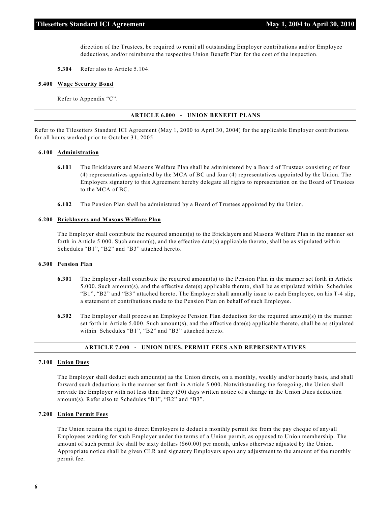direction of the Trustees, be required to remit all outstanding Employer contributions and/or Employee deductions, and/or reimburse the respective Union Benefit Plan for the cost of the inspection.

**5.304** Refer also to Article 5.104.

#### **5.400 Wage Security Bond**

Refer to Appendix "C".

#### **ARTICLE 6.000 - UNION BENEFIT PLANS**

Refer to the Tilesetters Standard ICI Agreement (May 1, 2000 to April 30, 2004) for the applicable Employer contributions for all hours worked prior to October 31, 2005.

#### **6.100 Administration**

- **6.101** The Bricklayers and Masons Welfare Plan shall be administered by a Board of Trustees consisting of four (4) representatives appointed by the MCA of BC and four (4) representatives appointed by the Union. The Employers signatory to this Agreement hereby delegate all rights to representation on the Board of Trustees to the MCA of BC.
- **6.102** The Pension Plan shall be administered by a Board of Trustees appointed by the Union.

#### **6.200 Bricklayers and Masons Welfare Plan**

The Employer shall contribute the required amount(s) to the Bricklayers and Masons Welfare Plan in the manner set forth in Article 5.000. Such amount(s), and the effective date(s) applicable thereto, shall be as stipulated within Schedules "B1", "B2" and "B3" attached hereto.

#### **6.300 Pension Plan**

- **6.301** The Employer shall contribute the required amount(s) to the Pension Plan in the manner set forth in Article 5.000. Such amount(s), and the effective date(s) applicable thereto, shall be as stipulated within Schedules "B1", "B2" and "B3" attached hereto. The Employer shall annually issue to each Employee, on his T-4 slip, a statement of contributions made to the Pension Plan on behalf of such Employee.
- **6.302** The Employer shall process an Employee Pension Plan deduction for the required amount(s) in the manner set forth in Article 5.000. Such amount(s), and the effective date(s) applicable thereto, shall be as stipulated within Schedules "B1", "B2" and "B3" attached hereto.

#### **ARTICLE 7.000 - UNION DUES, PERMIT FEES AND REPRESENTATIVES**

#### **7.100 Union Dues**

The Employer shall deduct such amount(s) as the Union directs, on a monthly, weekly and/or hourly basis, and shall forward such deductions in the manner set forth in Article 5.000. Notwithstanding the foregoing, the Union shall provide the Employer with not less than thirty (30) days written notice of a change in the Union Dues deduction amount(s). Refer also to Schedules "B1", "B2" and "B3".

#### **7.200 Union Permit Fees**

The Union retains the right to direct Employers to deduct a monthly permit fee from the pay cheque of any/all Employees working for such Employer under the terms of a Union permit, as opposed to Union membership. The amount of such permit fee shall be sixty dollars (\$60.00) per month, unless otherwise adjusted by the Union. Appropriate notice shall be given CLR and signatory Employers upon any adjustment to the amount of the monthly permit fee.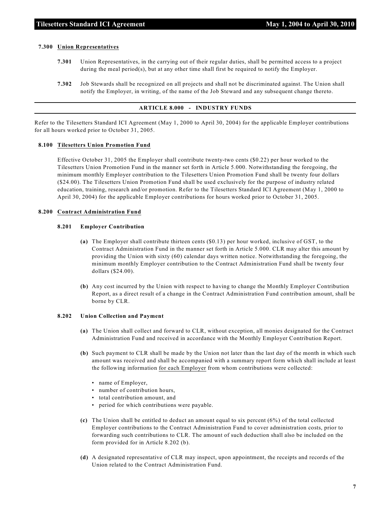#### **7.300 Union Representatives**

- **7.301** Union Representatives, in the carrying out of their regular duties, shall be permitted access to a project during the meal period(s), but at any other time shall first be required to notify the Employer.
- **7.302** Job Stewards shall be recognized on all projects and shall not be discriminated against. The Union shall notify the Employer, in writing, of the name of the Job Steward and any subsequent change thereto.

#### **ARTICLE 8.000 - INDUSTRY FUNDS**

Refer to the Tilesetters Standard ICI Agreement (May 1, 2000 to April 30, 2004) for the applicable Employer contributions for all hours worked prior to October 31, 2005.

#### **8.100 Tilesetters Union Promotion Fund**

Effective October 31, 2005 the Employer shall contribute twenty-two cents (\$0.22) per hour worked to the Tilesetters Union Promotion Fund in the manner set forth in Article 5.000. Notwithstanding the foregoing, the minimum monthly Employer contribution to the Tilesetters Union Promotion Fund shall be twenty four dollars (\$24.00). The Tilesetters Union Promotion Fund shall be used exclusively for the purpose of industry related education, training, research and/or promotion. Refer to the Tilesetters Standard ICI Agreement (May 1, 2000 to April 30, 2004) for the applicable Employer contributions for hours worked prior to October 31, 2005.

#### **8.200 Contract Administration Fund**

#### **8.201 Employer Contribution**

- **(a)** The Employer shall contribute thirteen cents (\$0.13) per hour worked, inclusive of GST, to the Contract Administration Fund in the manner set forth in Article 5.000. CLR may alter this amount by providing the Union with sixty (60) calendar days written notice. Notwithstanding the foregoing, the minimum monthly Employer contribution to the Contract Administration Fund shall be twenty four dollars (\$24.00).
- **(b)** Any cost incurred by the Union with respect to having to change the Monthly Employer Contribution Report, as a direct result of a change in the Contract Administration Fund contribution amount, shall be borne by CLR.

#### **8.202 Union Collection and Payment**

- **(a)** The Union shall collect and forward to CLR, without exception, all monies designated for the Contract Administration Fund and received in accordance with the Monthly Employer Contribution Report.
- **(b)** Such payment to CLR shall be made by the Union not later than the last day of the month in which such amount was received and shall be accompanied with a summary report form which shall include at least the following information for each Employer from whom contributions were collected:
	- name of Employer,
	- number of contribution hours,
	- total contribution amount, and
	- period for which contributions were payable.
- **(c)** The Union shall be entitled to deduct an amount equal to six percent (6%) of the total collected Employer contributions to the Contract Administration Fund to cover administration costs, prior to forwarding such contributions to CLR. The amount of such deduction shall also be included on the form provided for in Article 8.202 (b).
- **(d)** A designated representative of CLR may inspect, upon appointment, the receipts and records of the Union related to the Contract Administration Fund.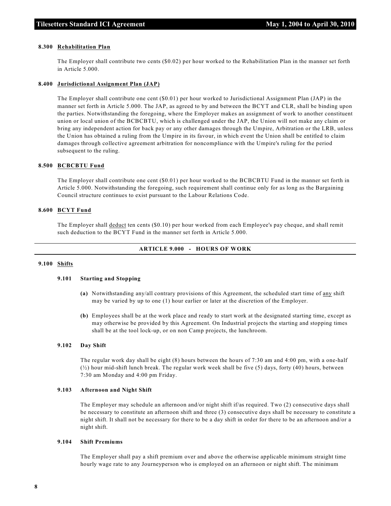#### **8.300 Rehabilitation Plan**

The Employer shall contribute two cents (\$0.02) per hour worked to the Rehabilitation Plan in the manner set forth in Article 5.000.

#### **8.400 Jurisdictional Assignment Plan (JAP)**

The Employer shall contribute one cent (\$0.01) per hour worked to Jurisdictional Assignment Plan (JAP) in the manner set forth in Article 5.000. The JAP, as agreed to by and between the BCYT and CLR, shall be binding upon the parties. Notwithstanding the foregoing, where the Employer makes an assignment of work to another constituent union or local union of the BCBCBTU, which is challenged under the JAP, the Union will not make any claim or bring any independent action for back pay or any other damages through the Umpire, Arbitration or the LRB, unless the Union has obtained a ruling from the Umpire in its favour, in which event the Union shall be entitled to claim damages through collective agreement arbitration for noncompliance with the Umpire's ruling for the period subsequent to the ruling.

#### **8.500 BCBCBTU Fund**

The Employer shall contribute one cent (\$0.01) per hour worked to the BCBCBTU Fund in the manner set forth in Article 5.000. Notwithstanding the foregoing, such requirement shall continue only for as long as the Bargaining Council structure continues to exist pursuant to the Labour Relations Code.

#### **8.600 BCYT Fund**

The Employer shall deduct ten cents (\$0.10) per hour worked from each Employee's pay cheque, and shall remit such deduction to the BCYT Fund in the manner set forth in Article 5.000.

#### **ARTICLE 9.000 - HOURS OF WORK**

#### **9.100 Shifts**

#### **9.101 Starting and Stopping**

- **(a)** Notwithstanding any/all contrary provisions of this Agreement, the scheduled start time of any shift may be varied by up to one (1) hour earlier or later at the discretion of the Employer.
- **(b)** Employees shall be at the work place and ready to start work at the designated starting time, except as may otherwise be provided by this Agreement. On Industrial projects the starting and stopping times shall be at the tool lock-up, or on non Camp projects, the lunchroom.

#### **9.102 Day Shift**

The regular work day shall be eight (8) hours between the hours of 7:30 am and 4:00 pm, with a one-half  $(\frac{1}{2})$  hour mid-shift lunch break. The regular work week shall be five (5) days, forty (40) hours, between 7:30 am Monday and 4:00 pm Friday.

#### **9.103 Afternoon and Night Shift**

The Employer may schedule an afternoon and/or night shift if/as required. Two (2) consecutive days shall be necessary to constitute an afternoon shift and three (3) consecutive days shall be necessary to constitute a night shift. It shall not be necessary for there to be a day shift in order for there to be an afternoon and/or a night shift.

#### **9.104 Shift Premiums**

The Employer shall pay a shift premium over and above the otherwise applicable minimum straight time hourly wage rate to any Journeyperson who is employed on an afternoon or night shift. The minimum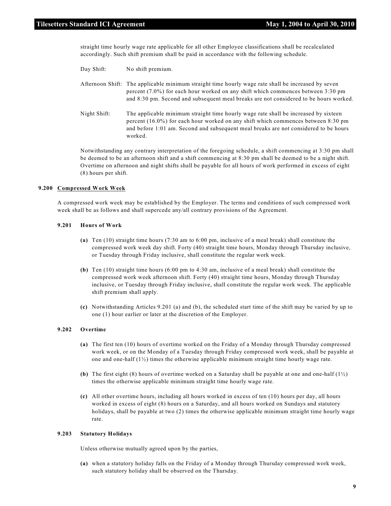straight time hourly wage rate applicable for all other Employee classifications shall be recalculated accordingly. Such shift premium shall be paid in accordance with the following schedule.

| Day Shift:   | No shift premium.                                                                                                                                                                                                                                                                  |
|--------------|------------------------------------------------------------------------------------------------------------------------------------------------------------------------------------------------------------------------------------------------------------------------------------|
|              | Afternoon Shift: The applicable minimum straight time hourly wage rate shall be increased by seven<br>percent $(7.0\%)$ for each hour worked on any shift which commences between 3:30 pm<br>and 8:30 pm. Second and subsequent meal breaks are not considered to be hours worked. |
| Night Shift: | The applicable minimum straight time hourly wage rate shall be increased by sixteen<br>percent (16.0%) for each hour worked on any shift which commences between 8:30 pm<br>and before 1:01 am. Second and subsequent meal breaks are not considered to be hours<br>worked.        |
|              |                                                                                                                                                                                                                                                                                    |

Notwithstanding any contrary interpretation of the foregoing schedule, a shift commencing at 3:30 pm shall be deemed to be an afternoon shift and a shift commencing at 8:30 pm shall be deemed to be a night shift. Overtime on afternoon and night shifts shall be payable for all hours of work performed in excess of eight (8) hours per shift.

#### **9.200 Compressed Work Week**

A compressed work week may be established by the Employer. The terms and conditions of such compressed work week shall be as follows and shall supercede any/all contrary provisions of the Agreement.

#### **9.201 Hours of Work**

- **(a)** Ten (10) straight time hours (7:30 am to 6:00 pm, inclusive of a meal break) shall constitute the compressed work week day shift. Forty (40) straight time hours, Monday through Thursday inclusive, or Tuesday through Friday inclusive, shall constitute the regular work week.
- **(b)** Ten (10) straight time hours (6:00 pm to 4:30 am, inclusive of a meal break) shall constitute the compressed work week afternoon shift. Forty (40) straight time hours, Monday through Thursday inclusive, or Tuesday through Friday inclusive, shall constitute the regular work week. The applicable shift premium shall apply.
- **(c)** Notwithstanding Articles 9.201 (a) and (b), the scheduled start time of the shift may be varied by up to one (1) hour earlier or later at the discretion of the Employer.

#### **9.202 Overtime**

- **(a)** The first ten (10) hours of overtime worked on the Friday of a Monday through Thursday compressed work week, or on the Monday of a Tuesday through Friday compressed work week, shall be payable at one and one-half  $(1/2)$  times the otherwise applicable minimum straight time hourly wage rate.
- **(b)** The first eight (8) hours of overtime worked on a Saturday shall be payable at one and one-half (1½) times the otherwise applicable minimum straight time hourly wage rate.
- **(c)** All other overtime hours, including all hours worked in excess of ten (10) hours per day, all hours worked in excess of eight (8) hours on a Saturday, and all hours worked on Sundays and statutory holidays, shall be payable at two (2) times the otherwise applicable minimum straight time hourly wage rate.

#### **9.203 Statutory Holidays**

Unless otherwise mutually agreed upon by the parties,

**(a)** when a statutory holiday falls on the Friday of a Monday through Thursday compressed work week, such statutory holiday shall be observed on the Thursday.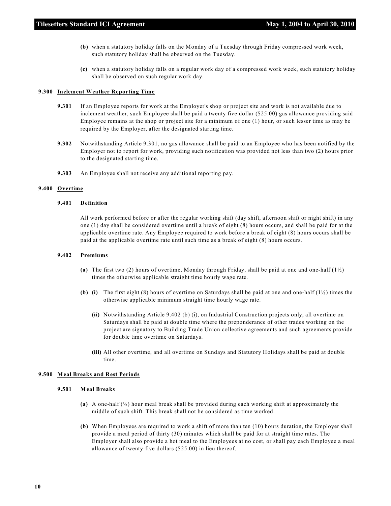- **(b)** when a statutory holiday falls on the Monday of a Tuesday through Friday compressed work week, such statutory holiday shall be observed on the Tuesday.
- **(c)** when a statutory holiday falls on a regular work day of a compressed work week, such statutory holiday shall be observed on such regular work day.

#### **9.300 Inclement Weather Reporting Time**

- **9.301** If an Employee reports for work at the Employer's shop or project site and work is not available due to inclement weather, such Employee shall be paid a twenty five dollar (\$25.00) gas allowance providing said Employee remains at the shop or project site for a minimum of one (1) hour, or such lesser time as may be required by the Employer, after the designated starting time.
- **9.302** Notwithstanding Article 9.301, no gas allowance shall be paid to an Employee who has been notified by the Employer not to report for work, providing such notification was provided not less than two (2) hours prior to the designated starting time.
- **9.303** An Employee shall not receive any additional reporting pay.

#### **9.400 Overtime**

#### **9.401 Definition**

All work performed before or after the regular working shift (day shift, afternoon shift or night shift) in any one (1) day shall be considered overtime until a break of eight (8) hours occurs, and shall be paid for at the applicable overtime rate. Any Employee required to work before a break of eight (8) hours occurs shall be paid at the applicable overtime rate until such time as a break of eight (8) hours occurs.

#### **9.402 Premiums**

- **(a)** The first two (2) hours of overtime, Monday through Friday, shall be paid at one and one-half (1½) times the otherwise applicable straight time hourly wage rate.
- **(b) (i)** The first eight (8) hours of overtime on Saturdays shall be paid at one and one-half (1½) times the otherwise applicable minimum straight time hourly wage rate.
	- (ii) Notwithstanding Article 9.402 (b) (i), on Industrial Construction projects only, all overtime on Saturdays shall be paid at double time where the preponderance of other trades working on the project are signatory to Building Trade Union collective agreements and such agreements provide for double time overtime on Saturdays.
	- **(iii)** All other overtime, and all overtime on Sundays and Statutory Holidays shall be paid at double time.

#### **9.500 Meal Breaks and Rest Periods**

#### **9.501 Meal Breaks**

- **(a)** A one-half (½) hour meal break shall be provided during each working shift at approximately the middle of such shift. This break shall not be considered as time worked.
- **(b)** When Employees are required to work a shift of more than ten (10) hours duration, the Employer shall provide a meal period of thirty (30) minutes which shall be paid for at straight time rates. The Employer shall also provide a hot meal to the Employees at no cost, or shall pay each Employee a meal allowance of twenty-five dollars (\$25.00) in lieu thereof.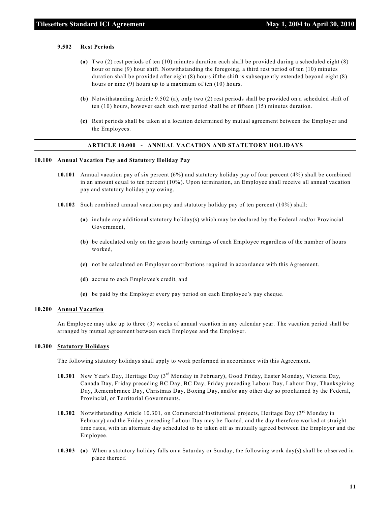#### **9.502 Rest Periods**

- **(a)** Two (2) rest periods of ten (10) minutes duration each shall be provided during a scheduled eight (8) hour or nine (9) hour shift. Notwithstanding the foregoing, a third rest period of ten (10) minutes duration shall be provided after eight (8) hours if the shift is subsequently extended beyond eight (8) hours or nine (9) hours up to a maximum of ten (10) hours.
- **(b)** Notwithstanding Article 9.502 (a), only two (2) rest periods shall be provided on a scheduled shift of ten (10) hours, however each such rest period shall be of fifteen (15) minutes duration.
- **(c)** Rest periods shall be taken at a location determined by mutual agreement between the Employer and the Employees.

#### **ARTICLE 10.000 - ANNUAL VACATION AND STATUTORY HOLIDAYS**

#### **10.100 Annual Vacation Pay and Statutory Holiday Pay**

- **10.101** Annual vacation pay of six percent (6%) and statutory holiday pay of four percent (4%) shall be combined in an amount equal to ten percent (10%). Upon termination, an Employee shall receive all annual vacation pay and statutory holiday pay owing.
- **10.102** Such combined annual vacation pay and statutory holiday pay of ten percent (10%) shall:
	- **(a)** include any additional statutory holiday(s) which may be declared by the Federal and/or Provincial Government,
	- **(b)** be calculated only on the gross hourly earnings of each Employee regardless of the number of hours worked,
	- **(c)** not be calculated on Employer contributions required in accordance with this Agreement.
	- **(d)** accrue to each Employee's credit, and
	- **(e)** be paid by the Employer every pay period on each Employee's pay cheque.

#### **10.200 Annual Vacation**

An Employee may take up to three (3) weeks of annual vacation in any calendar year. The vacation period shall be arranged by mutual agreement between such Employee and the Employer.

#### **10.300 Statutory Holidays**

The following statutory holidays shall apply to work performed in accordance with this Agreement.

- 10.301 New Year's Day, Heritage Day (3<sup>rd</sup> Monday in February), Good Friday, Easter Monday, Victoria Day, Canada Day, Friday preceding BC Day, BC Day, Friday preceding Labour Day, Labour Day, Thanksgiving Day, Remembrance Day, Christmas Day, Boxing Day, and/or any other day so proclaimed by the Federal, Provincial, or Territorial Governments.
- **10.302** Notwithstanding Article 10.301, on Commercial/Institutional projects, Heritage Day  $(3<sup>rd</sup>$ Monday in February) and the Friday preceding Labour Day may be floated, and the day therefore worked at straight time rates, with an alternate day scheduled to be taken off as mutually agreed between the Employer and the Employee.
- **10.303 (a)** When a statutory holiday falls on a Saturday or Sunday, the following work day(s) shall be observed in place thereof.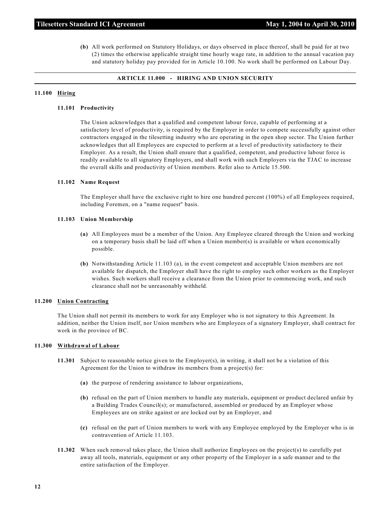**(b)** All work performed on Statutory Holidays, or days observed in place thereof, shall be paid for at two (2) times the otherwise applicable straight time hourly wage rate, in addition to the annual vacation pay and statutory holiday pay provided for in Article 10.100. No work shall be performed on Labour Day.

#### **ARTICLE 11.000 - HIRING AND UNION SECURITY**

#### **11.100 Hiring**

#### **11.101 Productivity**

The Union acknowledges that a qualified and competent labour force, capable of performing at a satisfactory level of productivity, is required by the Employer in order to compete successfully against other contractors engaged in the tilesetting industry who are operating in the open shop sector. The Union further acknowledges that all Employees are expected to perform at a level of productivity satisfactory to their Employer. As a result, the Union shall ensure that a qualified, competent, and productive labour force is readily available to all signatory Employers, and shall work with such Employers via the TJAC to increase the overall skills and productivity of Union members. Refer also to Article 15.500.

#### **11.102 Name Request**

The Employer shall have the exclusive right to hire one hundred percent (100%) of all Employees required, including Foremen, on a "name request" basis.

#### **11.103 Union Membership**

- **(a)** All Employees must be a member of the Union. Any Employee cleared through the Union and working on a temporary basis shall be laid off when a Union member(s) is available or when economically possible.
- **(b)** Notwithstanding Article 11.103 (a), in the event competent and acceptable Union members are not available for dispatch, the Employer shall have the right to employ such other workers as the Employer wishes. Such workers shall receive a clearance from the Union prior to commencing work, and such clearance shall not be unreasonably withheld.

#### **11.200 Union Contracting**

The Union shall not permit its members to work for any Employer who is not signatory to this Agreement. In addition, neither the Union itself, nor Union members who are Employees of a signatory Employer, shall contract for work in the province of BC.

#### **11.300 Withdrawal of Labour**

- **11.301** Subject to reasonable notice given to the Employer(s), in writing, it shall not be a violation of this Agreement for the Union to withdraw its members from a project(s) for:
	- **(a)** the purpose of rendering assistance to labour organizations,
	- **(b)** refusal on the part of Union members to handle any materials, equipment or product declared unfair by a Building Trades Council(s); or manufactured, assembled or produced by an Employer whose Employees are on strike against or are locked out by an Employer, and
	- **(c)** refusal on the part of Union members to work with any Employee employed by the Employer who is in contravention of Article 11.103.
- **11.302** When such removal takes place, the Union shall authorize Employees on the project(s) to carefully put away all tools, materials, equipment or any other property of the Employer in a safe manner and to the entire satisfaction of the Employer.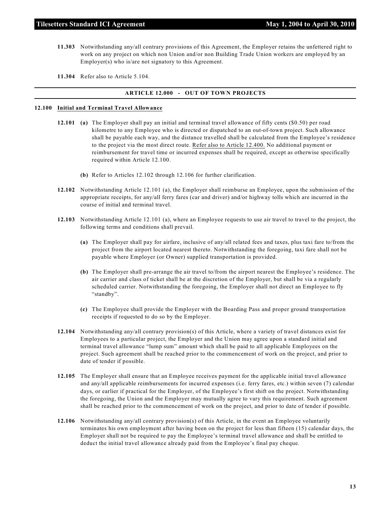- **11.303** Notwithstanding any/all contrary provisions of this Agreement, the Employer retains the unfettered right to work on any project on which non Union and/or non Building Trade Union workers are employed by an Employer(s) who is/are not signatory to this Agreement.
- **11.304** Refer also to Article 5.104.

#### **ARTICLE 12.000 - OUT OF TOWN PROJECTS**

#### **12.100 Initial and Terminal Travel Allowance**

- **12.101 (a)** The Employer shall pay an initial and terminal travel allowance of fifty cents (\$0.50) per road kilometre to any Employee who is directed or dispatched to an out-of-town project. Such allowance shall be payable each way, and the distance travelled shall be calculated from the Employee's residence to the project via the most direct route. Refer also to Article 12.400. No additional payment or reimbursement for travel time or incurred expenses shall be required, except as otherwise specifically required within Article 12.100.
	- **(b)** Refer to Articles 12.102 through 12.106 for further clarification.
- **12.102** Notwithstanding Article 12.101 (a), the Employer shall reimburse an Employee, upon the submission of the appropriate receipts, for any/all ferry fares (car and driver) and/or highway tolls which are incurred in the course of initial and terminal travel.
- **12.103** Notwithstanding Article 12.101 (a), where an Employee requests to use air travel to travel to the project, the following terms and conditions shall prevail.
	- **(a)** The Employer shall pay for airfare, inclusive of any/all related fees and taxes, plus taxi fare to/from the project from the airport located nearest thereto. Notwithstanding the foregoing, taxi fare shall not be payable where Employer (or Owner) supplied transportation is provided.
	- **(b)** The Employer shall pre-arrange the air travel to/from the airport nearest the Employee's residence. The air carrier and class of ticket shall be at the discretion of the Employer, but shall be via a regularly scheduled carrier. Notwithstanding the foregoing, the Employer shall not direct an Employee to fly "standby".
	- **(c)** The Employee shall provide the Employer with the Boarding Pass and proper ground transportation receipts if requested to do so by the Employer.
- **12.104** Notwithstanding any/all contrary provision(s) of this Article, where a variety of travel distances exist for Employees to a particular project, the Employer and the Union may agree upon a standard initial and terminal travel allowance "lump sum" amount which shall be paid to all applicable Employees on the project. Such agreement shall be reached prior to the commencement of work on the project, and prior to date of tender if possible.
- **12.105** The Employer shall ensure that an Employee receives payment for the applicable initial travel allowance and any/all applicable reimbursements for incurred expenses (i.e. ferry fares, etc.) within seven (7) calendar days, or earlier if practical for the Employer, of the Employee's first shift on the project. Notwithstanding the foregoing, the Union and the Employer may mutually agree to vary this requirement. Such agreement shall be reached prior to the commencement of work on the project, and prior to date of tender if possible.
- **12.106** Notwithstanding any/all contrary provision(s) of this Article, in the event an Employee voluntarily terminates his own employment after having been on the project for less than fifteen (15) calendar days, the Employer shall not be required to pay the Employee's terminal travel allowance and shall be entitled to deduct the initial travel allowance already paid from the Employee's final pay cheque.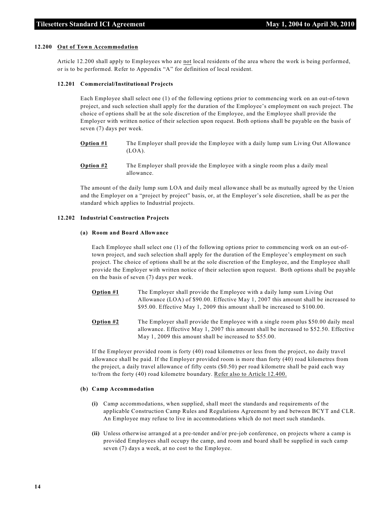#### **12.200 Out of Town Accommodation**

Article 12.200 shall apply to Employees who are not local residents of the area where the work is being performed, or is to be performed. Refer to Appendix "A" for definition of local resident.

#### **12.201 Commercial/Institutional Projects**

Each Employee shall select one (1) of the following options prior to commencing work on an out-of-town project, and such selection shall apply for the duration of the Employee's employment on such project. The choice of options shall be at the sole discretion of the Employee, and the Employee shall provide the Employer with written notice of their selection upon request. Both options shall be payable on the basis of seven (7) days per week.

- **Option #1** The Employer shall provide the Employee with a daily lump sum Living Out Allowance (LOA).
- **Option #2** The Employer shall provide the Employee with a single room plus a daily meal allowance.

The amount of the daily lump sum LOA and daily meal allowance shall be as mutually agreed by the Union and the Employer on a "project by project" basis, or, at the Employer's sole discretion, shall be as per the standard which applies to Industrial projects.

#### **12.202 Industrial Construction Projects**

#### **(a) Room and Board Allowance**

Each Employee shall select one (1) of the following options prior to commencing work on an out-oftown project, and such selection shall apply for the duration of the Employee's employment on such project. The choice of options shall be at the sole discretion of the Employee, and the Employee shall provide the Employer with written notice of their selection upon request. Both options shall be payable on the basis of seven (7) days per week.

- **Option #1** The Employer shall provide the Employee with a daily lump sum Living Out Allowance (LOA) of \$90.00. Effective May 1, 2007 this amount shall be increased to \$95.00. Effective May 1, 2009 this amount shall be increased to \$100.00.
- **Option #2** The Employer shall provide the Employee with a single room plus \$50.00 daily meal allowance. Effective May 1, 2007 this amount shall be increased to \$52.50. Effective May 1, 2009 this amount shall be increased to \$55.00.

If the Employer provided room is forty (40) road kilometres or less from the project, no daily travel allowance shall be paid. If the Employer provided room is more than forty (40) road kilometres from the project, a daily travel allowance of fifty cents (\$0.50) per road kilometre shall be paid each way to/from the forty (40) road kilometre boundary. Refer also to Article 12.400.

#### **(b) Camp Accommodation**

- **(i)** Camp accommodations, when supplied, shall meet the standards and requirements of the applicable Construction Camp Rules and Regulations Agreement by and between BCYT and CLR. An Employee may refuse to live in accommodations which do not meet such standards.
- **(ii)** Unless otherwise arranged at a pre-tender and/or pre-job conference, on projects where a camp is provided Employees shall occupy the camp, and room and board shall be supplied in such camp seven (7) days a week, at no cost to the Employee.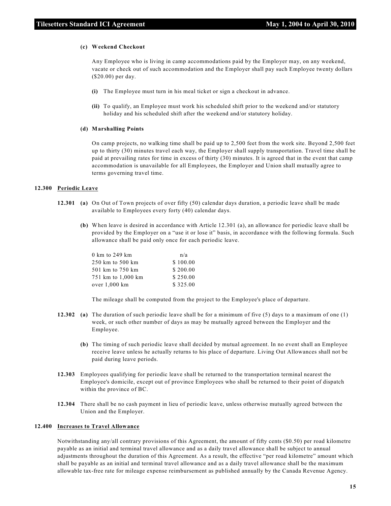#### **(c) Weekend Checkout**

Any Employee who is living in camp accommodations paid by the Employer may, on any weekend, vacate or check out of such accommodation and the Employer shall pay such Employee twenty dollars (\$20.00) per day.

- **(i)** The Employee must turn in his meal ticket or sign a checkout in advance.
- **(ii)** To qualify, an Employee must work his scheduled shift prior to the weekend and/or statutory holiday and his scheduled shift after the weekend and/or statutory holiday.

#### **(d) Marshalling Points**

On camp projects, no walking time shall be paid up to 2,500 feet from the work site. Beyond 2,500 feet up to thirty (30) minutes travel each way, the Employer shall supply transportation. Travel time shall be paid at prevailing rates for time in excess of thirty (30) minutes. It is agreed that in the event that camp accommodation is unavailable for all Employees, the Employer and Union shall mutually agree to terms governing travel time.

#### **12.300 Periodic Leave**

- **12.301 (a)** On Out of Town projects of over fifty (50) calendar days duration, a periodic leave shall be made available to Employees every forty (40) calendar days.
	- **(b)** When leave is desired in accordance with Article 12.301 (a), an allowance for periodic leave shall be provided by the Employer on a "use it or lose it" basis, in accordance with the following formula. Such allowance shall be paid only once for each periodic leave.

| 0 km to 249 km     | n/a      |
|--------------------|----------|
| 250 km to 500 km   | \$100.00 |
| 501 km to 750 km   | \$200.00 |
| 751 km to 1,000 km | \$250.00 |
| over 1,000 km      | \$325.00 |

The mileage shall be computed from the project to the Employee's place of departure.

- **12.302 (a)** The duration of such periodic leave shall be for a minimum of five (5) days to a maximum of one (1) week, or such other number of days as may be mutually agreed between the Employer and the Employee.
	- **(b)** The timing of such periodic leave shall decided by mutual agreement. In no event shall an Employee receive leave unless he actually returns to his place of departure. Living Out Allowances shall not be paid during leave periods.
- **12.303** Employees qualifying for periodic leave shall be returned to the transportation terminal nearest the Employee's domicile, except out of province Employees who shall be returned to their point of dispatch within the province of BC.
- **12.304** There shall be no cash payment in lieu of periodic leave, unless otherwise mutually agreed between the Union and the Employer.

#### **12.400 Increases to Travel Allowance**

Notwithstanding any/all contrary provisions of this Agreement, the amount of fifty cents (\$0.50) per road kilometre payable as an initial and terminal travel allowance and as a daily travel allowance shall be subject to annual adjustments throughout the duration of this Agreement. As a result, the effective "per road kilometre" amount which shall be payable as an initial and terminal travel allowance and as a daily travel allowance shall be the maximum allowable tax-free rate for mileage expense reimbursement as published annually by the Canada Revenue Agency.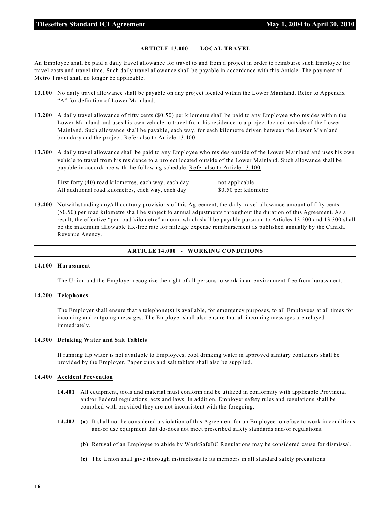#### **ARTICLE 13.000 - LOCAL TRAVEL**

An Employee shall be paid a daily travel allowance for travel to and from a project in order to reimburse such Employee for travel costs and travel time. Such daily travel allowance shall be payable in accordance with this Article. The payment of Metro Travel shall no longer be applicable.

- **13.100** No daily travel allowance shall be payable on any project located within the Lower Mainland. Refer to Appendix "A" for definition of Lower Mainland.
- **13.200** A daily travel allowance of fifty cents (\$0.50) per kilometre shall be paid to any Employee who resides within the Lower Mainland and uses his own vehicle to travel from his residence to a project located outside of the Lower Mainland. Such allowance shall be payable, each way, for each kilometre driven between the Lower Mainland boundary and the project. Refer also to Article 13.400.
- **13.300** A daily travel allowance shall be paid to any Employee who resides outside of the Lower Mainland and uses his own vehicle to travel from his residence to a project located outside of the Lower Mainland. Such allowance shall be payable in accordance with the following schedule. Refer also to Article 13.400.

First forty (40) road kilometres, each way, each day not applicable All additional road kilometres, each way, each day \$0.50 per kilometre

**13.400** Notwithstanding any/all contrary provisions of this Agreement, the daily travel allowance amount of fifty cents (\$0.50) per road kilometre shall be subject to annual adjustments throughout the duration of this Agreement. As a result, the effective "per road kilometre" amount which shall be payable pursuant to Articles 13.200 and 13.300 shall be the maximum allowable tax-free rate for mileage expense reimbursement as published annually by the Canada Revenue Agency.

#### **ARTICLE 14.000 - WORKING CONDITIONS**

#### **14.100 Harassment**

The Union and the Employer recognize the right of all persons to work in an environment free from harassment.

#### **14.200 Telephones**

The Employer shall ensure that a telephone(s) is available, for emergency purposes, to all Employees at all times for incoming and outgoing messages. The Employer shall also ensure that all incoming messages are relayed immediately.

#### **14.300 Drinking Water and Salt Tablets**

If running tap water is not available to Employees, cool drinking water in approved sanitary containers shall be provided by the Employer. Paper cups and salt tablets shall also be supplied.

#### **14.400 Accident Prevention**

- **14.401** All equipment, tools and material must conform and be utilized in conformity with applicable Provincial and/or Federal regulations, acts and laws. In addition, Employer safety rules and regulations shall be complied with provided they are not inconsistent with the foregoing.
- **14.402 (a)** It shall not be considered a violation of this Agreement for an Employee to refuse to work in conditions and/or use equipment that do/does not meet prescribed safety standards and/or regulations.
	- **(b)** Refusal of an Employee to abide by WorkSafeBC Regulations may be considered cause for dismissal.
	- **(c)** The Union shall give thorough instructions to its members in all standard safety precautions.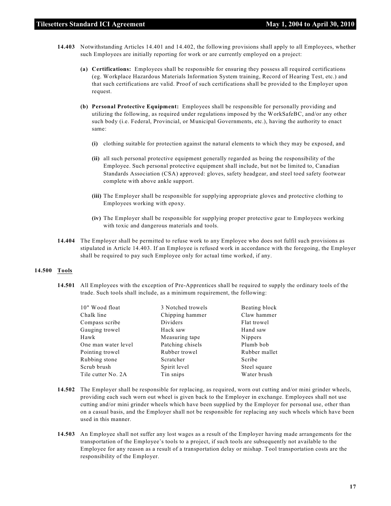- **14.403** Notwithstanding Articles 14.401 and 14.402, the following provisions shall apply to all Employees, whether such Employees are initially reporting for work or are currently employed on a project:
	- **(a) Certifications:** Employees shall be responsible for ensuring they possess all required certifications (eg. Workplace Hazardous Materials Information System training, Record of Hearing Test, etc.) and that such certifications are valid. Proof of such certifications shall be provided to the Employer upon request.
	- **(b) Personal Protective Equipment:** Employees shall be responsible for personally providing and utilizing the following, as required under regulations imposed by the WorkSafeBC, and/or any other such body (i.e. Federal, Provincial, or Municipal Governments, etc.), having the authority to enact same:
		- **(i)** clothing suitable for protection against the natural elements to which they may be exposed, and
		- **(ii)** all such personal protective equipment generally regarded as being the responsibility of the Employee. Such personal protective equipment shall include, but not be limited to, Canadian Standards Association (CSA) approved: gloves, safety headgear, and steel toed safety footwear complete with above ankle support.
		- **(iii)** The Employer shall be responsible for supplying appropriate gloves and protective clothing to Employees working with epoxy.
		- **(iv)** The Employer shall be responsible for supplying proper protective gear to Employees working with toxic and dangerous materials and tools.
- **14.404** The Employer shall be permitted to refuse work to any Employee who does not fulfil such provisions as stipulated in Article 14.403. If an Employee is refused work in accordance with the foregoing, the Employer shall be required to pay such Employee only for actual time worked, if any.

#### **14.500 Tools**

**14.501** All Employees with the exception of Pre-Apprentices shall be required to supply the ordinary tools of the trade. Such tools shall include, as a minimum requirement, the following:

| 3 Notched trowels | Beating block |
|-------------------|---------------|
| Chipping hammer   | Claw hammer   |
| Dividers          | Flat trowel   |
| Hack saw          | Hand saw      |
| Measuring tape    | Nippers       |
| Patching chisels  | Plumb bob     |
| Rubber trowel     | Rubber mallet |
| Scratcher         | Scribe        |
| Spirit level      | Steel square  |
| Tin snips         | Water brush   |
|                   |               |

- **14.502** The Employer shall be responsible for replacing, as required, worn out cutting and/or mini grinder wheels, providing each such worn out wheel is given back to the Employer in exchange. Employees shall not use cutting and/or mini grinder wheels which have been supplied by the Employer for personal use, other than on a casual basis, and the Employer shall not be responsible for replacing any such wheels which have been used in this manner.
- **14.503** An Employee shall not suffer any lost wages as a result of the Employer having made arrangements for the transportation of the Employee's tools to a project, if such tools are subsequently not available to the Employee for any reason as a result of a transportation delay or mishap. Tool transportation costs are the responsibility of the Employer.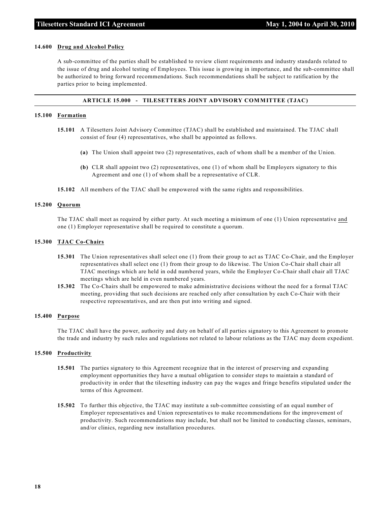#### **14.600 Drug and Alcohol Policy**

A sub-committee of the parties shall be established to review client requirements and industry standards related to the issue of drug and alcohol testing of Employees. This issue is growing in importance, and the sub-committee shall be authorized to bring forward recommendations. Such recommendations shall be subject to ratification by the parties prior to being implemented.

#### **ARTICLE 15.000 - TILESETTERS JOINT ADVISORY COMMITTEE (TJAC)**

#### **15.100 Formation**

- **15.101** A Tilesetters Joint Advisory Committee (TJAC) shall be established and maintained. The TJAC shall consist of four (4) representatives, who shall be appointed as follows.
	- **(a)** The Union shall appoint two (2) representatives, each of whom shall be a member of the Union.
	- **(b)** CLR shall appoint two (2) representatives, one (1) of whom shall be Employers signatory to this Agreement and one (1) of whom shall be a representative of CLR.
- **15.102** All members of the TJAC shall be empowered with the same rights and responsibilities.

#### **15.200 Quorum**

The TJAC shall meet as required by either party. At such meeting a minimum of one (1) Union representative and one (1) Employer representative shall be required to constitute a quorum.

#### **15.300 TJAC Co-Chairs**

- **15.301** The Union representatives shall select one (1) from their group to act as TJAC Co-Chair, and the Employer representatives shall select one (1) from their group to do likewise. The Union Co-Chair shall chair all TJAC meetings which are held in odd numbered years, while the Employer Co-Chair shall chair all TJAC meetings which are held in even numbered years.
- **15.302** The Co-Chairs shall be empowered to make administrative decisions without the need for a formal TJAC meeting, providing that such decisions are reached only after consultation by each Co-Chair with their respective representatives, and are then put into writing and signed.

#### **15.400 Purpose**

The TJAC shall have the power, authority and duty on behalf of all parties signatory to this Agreement to promote the trade and industry by such rules and regulations not related to labour relations as the TJAC may deem expedient.

#### **15.500 Productivity**

- **15.501** The parties signatory to this Agreement recognize that in the interest of preserving and expanding employment opportunities they have a mutual obligation to consider steps to maintain a standard of productivity in order that the tilesetting industry can pay the wages and fringe benefits stipulated under the terms of this Agreement.
- **15.502** To further this objective, the TJAC may institute a sub-committee consisting of an equal number of Employer representatives and Union representatives to make recommendations for the improvement of productivity. Such recommendations may include, but shall not be limited to conducting classes, seminars, and/or clinics, regarding new installation procedures.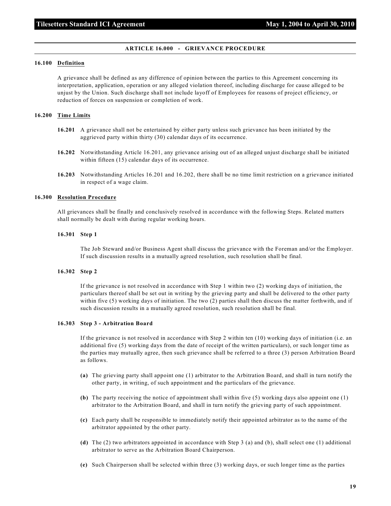#### **ARTICLE 16.000 - GRIEVANCE PROCEDURE**

#### **16.100 Definition**

A grievance shall be defined as any difference of opinion between the parties to this Agreement concerning its interpretation, application, operation or any alleged violation thereof, including discharge for cause alleged to be unjust by the Union. Such discharge shall not include layoff of Employees for reasons of project efficiency, or reduction of forces on suspension or completion of work.

#### **16.200 Time Limits**

- **16.201** A grievance shall not be entertained by either party unless such grievance has been initiated by the aggrieved party within thirty (30) calendar days of its occurrence.
- **16.202** Notwithstanding Article 16.201, any grievance arising out of an alleged unjust discharge shall be initiated within fifteen (15) calendar days of its occurrence.
- **16.203** Notwithstanding Articles 16.201 and 16.202, there shall be no time limit restriction on a grievance initiated in respect of a wage claim.

#### **16.300 Resolution Procedure**

All grievances shall be finally and conclusively resolved in accordance with the following Steps. Related matters shall normally be dealt with during regular working hours.

#### **16.301 Step 1**

The Job Steward and/or Business Agent shall discuss the grievance with the Foreman and/or the Employer. If such discussion results in a mutually agreed resolution, such resolution shall be final.

#### **16.302 Step 2**

If the grievance is not resolved in accordance with Step 1 within two (2) working days of initiation, the particulars thereof shall be set out in writing by the grieving party and shall be delivered to the other party within five (5) working days of initiation. The two (2) parties shall then discuss the matter forthwith, and if such discussion results in a mutually agreed resolution, such resolution shall be final.

#### **16.303 Step 3 - Arbitration Board**

If the grievance is not resolved in accordance with Step 2 within ten (10) working days of initiation (i.e. an additional five (5) working days from the date of receipt of the written particulars), or such longer time as the parties may mutually agree, then such grievance shall be referred to a three (3) person Arbitration Board as follows.

- **(a)** The grieving party shall appoint one (1) arbitrator to the Arbitration Board, and shall in turn notify the other party, in writing, of such appointment and the particulars of the grievance.
- **(b)** The party receiving the notice of appointment shall within five (5) working days also appoint one (1) arbitrator to the Arbitration Board, and shall in turn notify the grieving party of such appointment.
- **(c)** Each party shall be responsible to immediately notify their appointed arbitrator as to the name of the arbitrator appointed by the other party.
- **(d)** The (2) two arbitrators appointed in accordance with Step 3 (a) and (b), shall select one (1) additional arbitrator to serve as the Arbitration Board Chairperson.
- **(e)** Such Chairperson shall be selected within three (3) working days, or such longer time as the parties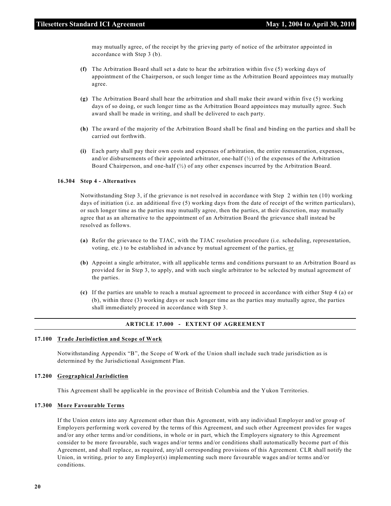may mutually agree, of the receipt by the grieving party of notice of the arbitrator appointed in accordance with Step 3 (b).

- **(f)** The Arbitration Board shall set a date to hear the arbitration within five (5) working days of appointment of the Chairperson, or such longer time as the Arbitration Board appointees may mutually agree.
- **(g)** The Arbitration Board shall hear the arbitration and shall make their award within five (5) working days of so doing, or such longer time as the Arbitration Board appointees may mutually agree. Such award shall be made in writing, and shall be delivered to each party.
- **(h)** The award of the majority of the Arbitration Board shall be final and binding on the parties and shall be carried out forthwith.
- **(i)** Each party shall pay their own costs and expenses of arbitration, the entire remuneration, expenses, and/or disbursements of their appointed arbitrator, one-half  $\binom{1}{2}$  of the expenses of the Arbitration Board Chairperson, and one-half (½) of any other expenses incurred by the Arbitration Board.

#### **16.304 Step 4 - Alternatives**

Notwithstanding Step 3, if the grievance is not resolved in accordance with Step 2 within ten (10) working days of initiation (i.e. an additional five (5) working days from the date of receipt of the written particulars), or such longer time as the parties may mutually agree, then the parties, at their discretion, may mutually agree that as an alternative to the appointment of an Arbitration Board the grievance shall instead be resolved as follows.

- **(a)** Refer the grievance to the TJAC, with the TJAC resolution procedure (i.e. scheduling, representation, voting, etc.) to be established in advance by mutual agreement of the parties, or
- **(b)** Appoint a single arbitrator, with all applicable terms and conditions pursuant to an Arbitration Board as provided for in Step 3, to apply, and with such single arbitrator to be selected by mutual agreement of the parties.
- **(c)** If the parties are unable to reach a mutual agreement to proceed in accordance with either Step 4 (a) or (b), within three (3) working days or such longer time as the parties may mutually agree, the parties shall immediately proceed in accordance with Step 3.

#### **ARTICLE 17.000 - EXTENT OF AGREEMENT**

#### **17.100 Trade Jurisdiction and Scope of Work**

Notwithstanding Appendix "B", the Scope of Work of the Union shall include such trade jurisdiction as is determined by the Jurisdictional Assignment Plan.

#### **17.200 Geographical Jurisdiction**

This Agreement shall be applicable in the province of British Columbia and the Yukon Territories.

#### **17.300 More Favourable Terms**

If the Union enters into any Agreement other than this Agreement, with any individual Employer and/or group of Employers performing work covered by the terms of this Agreement, and such other Agreement provides for wages and/or any other terms and/or conditions, in whole or in part, which the Employers signatory to this Agreement consider to be more favourable, such wages and/or terms and/or conditions shall automatically become part of this Agreement, and shall replace, as required, any/all corresponding provisions of this Agreement. CLR shall notify the Union, in writing, prior to any Employer(s) implementing such more favourable wages and/or terms and/or conditions.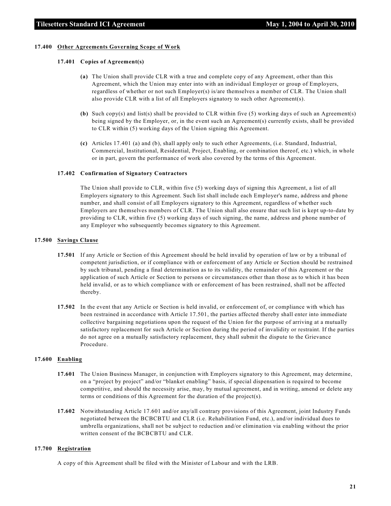#### **17.400 Other Agreements Governing Scope of Work**

#### **17.401 Copies of Agreement(s)**

- **(a)** The Union shall provide CLR with a true and complete copy of any Agreement, other than this Agreement, which the Union may enter into with an individual Employer or group of Employers, regardless of whether or not such Employer(s) is/are themselves a member of CLR. The Union shall also provide CLR with a list of all Employers signatory to such other Agreement(s).
- **(b)** Such copy(s) and list(s) shall be provided to CLR within five (5) working days of such an Agreement(s) being signed by the Employer, or, in the event such an Agreement(s) currently exists, shall be provided to CLR within (5) working days of the Union signing this Agreement.
- **(c)** Articles 17.401 (a) and (b), shall apply only to such other Agreements, (i.e. Standard, Industrial, Commercial, Institutional, Residential, Project, Enabling, or combination thereof, etc.) which, in whole or in part, govern the performance of work also covered by the terms of this Agreement.

#### **17.402 Confirmation of Signatory Contractors**

The Union shall provide to CLR, within five (5) working days of signing this Agreement, a list of all Employers signatory to this Agreement. Such list shall include each Employer's name, address and phone number, and shall consist of all Employers signatory to this Agreement, regardless of whether such Employers are themselves members of CLR. The Union shall also ensure that such list is kept up-to-date by providing to CLR, within five (5) working days of such signing, the name, address and phone number of any Employer who subsequently becomes signatory to this Agreement.

#### **17.500 Savings Clause**

- **17.501** If any Article or Section of this Agreement should be held invalid by operation of law or by a tribunal of competent jurisdiction, or if compliance with or enforcement of any Article or Section should be restrained by such tribunal, pending a final determination as to its validity, the remainder of this Agreement or the application of such Article or Section to persons or circumstances other than those as to which it has been held invalid, or as to which compliance with or enforcement of has been restrained, shall not be affected thereby.
- **17.502** In the event that any Article or Section is held invalid, or enforcement of, or compliance with which has been restrained in accordance with Article 17.501, the parties affected thereby shall enter into immediate collective bargaining negotiations upon the request of the Union for the purpose of arriving at a mutually satisfactory replacement for such Article or Section during the period of invalidity or restraint. If the parties do not agree on a mutually satisfactory replacement, they shall submit the dispute to the Grievance Procedure.

#### **17.600 Enabling**

- **17.601** The Union Business Manager, in conjunction with Employers signatory to this Agreement, may determine, on a "project by project" and/or "blanket enabling" basis, if special dispensation is required to become competitive, and should the necessity arise, may, by mutual agreement, and in writing, amend or delete any terms or conditions of this Agreement for the duration of the project(s).
- **17.602** Notwithstanding Article 17.601 and/or any/all contrary provisions of this Agreement, joint Industry Funds negotiated between the BCBCBTU and CLR (i.e. Rehabilitation Fund, etc.), and/or individual dues to umbrella organizations, shall not be subject to reduction and/or elimination via enabling without the prior written consent of the BCBCBTU and CLR.

#### **17.700 Registration**

A copy of this Agreement shall be filed with the Minister of Labour and with the LRB.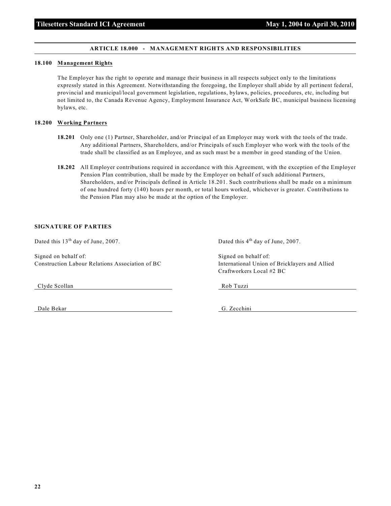#### **ARTICLE 18.000 - MANAGEMENT RIGHTS AND RESPONSIBILITIES**

#### **18.100 Management Rights**

The Employer has the right to operate and manage their business in all respects subject only to the limitations expressly stated in this Agreement. Notwithstanding the foregoing, the Employer shall abide by all pertinent federal, provincial and municipal/local government legislation, regulations, bylaws, policies, procedures, etc, including but not limited to, the Canada Revenue Agency, Employment Insurance Act, WorkSafe BC, municipal business licensing bylaws, etc.

#### **18.200 Working Partners**

- **18.201** Only one (1) Partner, Shareholder, and/or Principal of an Employer may work with the tools of the trade. Any additional Partners, Shareholders, and/or Principals of such Employer who work with the tools of the trade shall be classified as an Employee, and as such must be a member in good standing of the Union.
- **18.202** All Employer contributions required in accordance with this Agreement, with the exception of the Employer Pension Plan contribution, shall be made by the Employer on behalf of such additional Partners, Shareholders, and/or Principals defined in Article 18.201. Such contributions shall be made on a minimum of one hundred forty (140) hours per month, or total hours worked, whichever is greater. Contributions to the Pension Plan may also be made at the option of the Employer.

#### **SIGNATURE OF PARTIES**

Signed on behalf of: Signed on behalf of: Signed on behalf of: Construction Labour Relations Association of BC International Union of Bricklayers and Allied

Clyde Scollan Rob Tuzzi

Dated this  $13<sup>th</sup>$  day of June, 2007. Dated this  $4<sup>th</sup>$  day of June, 2007.

Craftworkers Local #2 BC

Dale Bekar G. Zecchini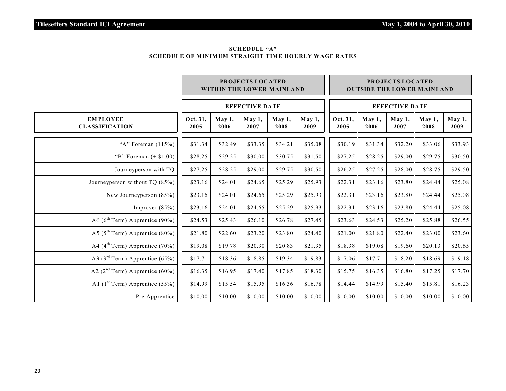#### **SCHEDULE "A" SCHEDULE OF MINIMUM STRAIGHT TIME HOURLY WAGE RATES**

|                                             | <b>PROJECTS LOCATED</b><br>WITHIN THE LOWER MAINLAND |                   |                       |                |                       | <b>PROJECTS LOCATED</b><br><b>OUTSIDE THE LOWER MAINLAND</b> |                   |                   |                |                |
|---------------------------------------------|------------------------------------------------------|-------------------|-----------------------|----------------|-----------------------|--------------------------------------------------------------|-------------------|-------------------|----------------|----------------|
|                                             |                                                      |                   | <b>EFFECTIVE DATE</b> |                | <b>EFFECTIVE DATE</b> |                                                              |                   |                   |                |                |
| <b>EMPLOYEE</b><br><b>CLASSIFICATION</b>    | Oct. 31,<br>2005                                     | $M$ ay 1,<br>2006 | May 1,<br>2007        | May 1,<br>2008 | May 1,<br>2009        | Oct. 31.<br>2005                                             | $M$ ay 1.<br>2006 | $M$ ay 1,<br>2007 | May 1,<br>2008 | May 1,<br>2009 |
| "A" Foreman $(115%)$                        | \$31.34                                              | \$32.49           | \$33.35               | \$34.21        | \$35.08               | \$30.19                                                      | \$31.34           | \$32.20           | \$33.06        | \$33.93        |
| "B" Foreman $(+ $1.00)$ "                   | \$28.25                                              | \$29.25           | \$30.00               | \$30.75        | \$31.50               | \$27.25                                                      | \$28.25           | \$29.00           | \$29.75        | \$30.50        |
| Journeyperson with TQ                       | \$27.25                                              | \$28.25           | \$29.00               | \$29.75        | \$30.50               | \$26.25                                                      | \$27.25           | \$28.00           | \$28.75        | \$29.50        |
| Journeyperson without TQ (85%)              | \$23.16                                              | \$24.01           | \$24.65               | \$25.29        | \$25.93               | \$22.31                                                      | \$23.16           | \$23.80           | \$24.44        | \$25.08        |
| New Journeyperson $(85%)$                   | \$23.16                                              | \$24.01           | \$24.65               | \$25.29        | \$25.93               | \$22.31                                                      | \$23.16           | \$23.80           | \$24.44        | \$25.08        |
| Improver $(85%)$                            | \$23.16                                              | \$24.01           | \$24.65               | \$25.29        | \$25.93               | \$22.31                                                      | \$23.16           | \$23.80           | \$24.44        | \$25.08        |
| A6 ( $6^{\text{th}}$ Term) Apprentice (90%) | \$24.53                                              | \$25.43           | \$26.10               | \$26.78        | \$27.45               | \$23.63                                                      | \$24.53           | \$25.20           | \$25.88        | \$26.55        |
| A5 ( $5^{\text{th}}$ Term) Apprentice (80%) | \$21.80                                              | \$22.60           | \$23.20               | \$23.80        | \$24.40               | \$21.00                                                      | \$21.80           | \$22.40           | \$23.00        | \$23.60        |
| A4 ( $4^{\text{th}}$ Term) Apprentice (70%) | \$19.08                                              | \$19.78           | \$20.30               | \$20.83        | \$21.35               | \$18.38                                                      | \$19.08           | \$19.60           | \$20.13        | \$20.65        |
| A3 ( $3rd$ Term) Apprentice (65%)           | \$17.71                                              | \$18.36           | \$18.85               | \$19.34        | \$19.83               | \$17.06                                                      | \$17.71           | \$18.20           | \$18.69        | \$19.18        |
| A2 ( $2nd$ Term) Apprentice (60%)           | \$16.35                                              | \$16.95           | \$17.40               | \$17.85        | \$18.30               | \$15.75                                                      | \$16.35           | \$16.80           | \$17.25        | \$17.70        |
| A1 $(1st Term)$ Apprentice (55%)            | \$14.99                                              | \$15.54           | \$15.95               | \$16.36        | \$16.78               | \$14.44                                                      | \$14.99           | \$15.40           | \$15.81        | \$16.23        |
| Pre-Apprentice                              | \$10.00                                              | \$10.00           | \$10.00               | \$10.00        | \$10.00               | \$10.00                                                      | \$10.00           | \$10.00           | \$10.00        | \$10.00        |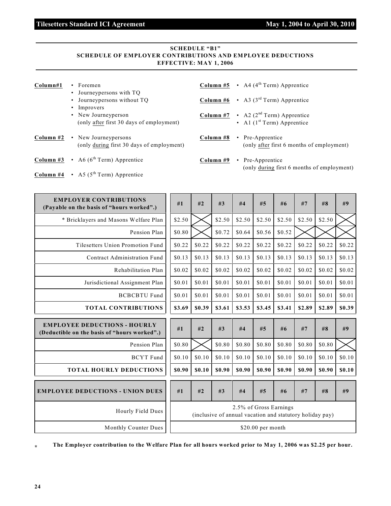### **Tilesetters Standard ICI Agreement May 1, 2004 to April 30, 2010**

### **SCHEDULE "B1" SCHEDULE OF EMPLOYER CONTRIBUTIONS AND EMPLOYEE DEDUCTIONS EFFECTIVE: MAY 1, 2006**

| Column#1 | $\cdot$ Foremen<br>• Journey persons with TQ<br>• Journey persons without TQ<br>• Improvers<br>• New Journeyperson<br>(only after first 30 days of employment) | <b>Column #5</b> $\cdot$ A4 (4 <sup>th</sup> Term) Apprentice<br><b>Column #6</b> $\cdot$ A3 (3 <sup>rd</sup> Term) Apprentice<br><b>Column #7</b> $\cdot$ A2 (2 <sup>nd</sup> Term) Apprentice<br>• Al $(1st Term)$ Apprentice |
|----------|----------------------------------------------------------------------------------------------------------------------------------------------------------------|---------------------------------------------------------------------------------------------------------------------------------------------------------------------------------------------------------------------------------|
|          | <b>Column #2</b> • New Journey persons<br>(only during first 30 days of employment)                                                                            | Column #8<br>• Pre-Apprentice<br>(only after first 6 months of employment)                                                                                                                                                      |
|          | <b>Column #3</b> $\cdot$ A6 (6 <sup>th</sup> Term) Apprentice                                                                                                  | Column #9<br>• Pre-Apprentice<br>(only during first 6 months of employment)                                                                                                                                                     |
|          | <b>Column #4</b> $\cdot$ A5 (5 <sup>th</sup> Term) Apprentice                                                                                                  |                                                                                                                                                                                                                                 |

| <b>EMPLOYER CONTRIBUTIONS</b><br>(Payable on the basis of "hours worked".)          | #1     | #2     | #3                                                       | #4                     | #5     | #6     | #7     | #8     | #9     |
|-------------------------------------------------------------------------------------|--------|--------|----------------------------------------------------------|------------------------|--------|--------|--------|--------|--------|
| * Bricklayers and Masons Welfare Plan                                               | \$2.50 |        | \$2.50                                                   | \$2.50                 | \$2.50 | \$2.50 | \$2.50 | \$2.50 |        |
| Pension Plan                                                                        | \$0.80 |        | \$0.72                                                   | \$0.64                 | \$0.56 | \$0.52 |        |        |        |
| Tilesetters Union Promotion Fund                                                    | \$0.22 | \$0.22 | \$0.22                                                   | \$0.22                 | \$0.22 | \$0.22 | \$0.22 | \$0.22 | \$0.22 |
| Contract Administration Fund                                                        | \$0.13 | \$0.13 | \$0.13                                                   | \$0.13                 | \$0.13 | \$0.13 | \$0.13 | \$0.13 | \$0.13 |
| Rehabilitation Plan                                                                 | \$0.02 | \$0.02 | \$0.02                                                   | \$0.02                 | \$0.02 | \$0.02 | \$0.02 | \$0.02 | \$0.02 |
| Jurisdictional Assignment Plan                                                      | \$0.01 | \$0.01 | \$0.01                                                   | \$0.01                 | \$0.01 | \$0.01 | \$0.01 | \$0.01 | \$0.01 |
| <b>BCBCBTU Fund</b>                                                                 | \$0.01 | \$0.01 | \$0.01                                                   | \$0.01                 | \$0.01 | \$0.01 | \$0.01 | \$0.01 | \$0.01 |
| <b>TOTAL CONTRIBUTIONS</b>                                                          | \$3.69 | \$0.39 | \$3.61                                                   | \$3.53                 | \$3.45 | \$3.41 | \$2.89 | \$2.89 | \$0.39 |
|                                                                                     |        |        |                                                          |                        |        |        |        |        |        |
| <b>EMPLOYEE DEDUCTIONS - HOURLY</b><br>(Deductible on the basis of "hours worked".) | #1     | #2     | #3                                                       | #4                     | #5     | #6     | #7     | #8     | #9     |
| Pension Plan                                                                        | \$0.80 |        | \$0.80                                                   | \$0.80                 | \$0.80 | \$0.80 | \$0.80 | \$0.80 |        |
| <b>BCYT</b> Fund                                                                    | \$0.10 | \$0.10 | \$0.10                                                   | \$0.10                 | \$0.10 | \$0.10 | \$0.10 | \$0.10 | \$0.10 |
| <b>TOTAL HOURLY DEDUCTIONS</b>                                                      | \$0.90 | \$0.10 | \$0.90                                                   | \$0.90                 | \$0.90 | \$0.90 | \$0.90 | \$0.90 | \$0.10 |
| <b>EMPLOYEE DEDUCTIONS - UNION DUES</b>                                             | #1     | #2     | #3                                                       | #4                     | #5     | #6     | #7     | #8     | #9     |
| Hourly Field Dues                                                                   |        |        | (inclusive of annual vacation and statutory holiday pay) | 2.5% of Gross Earnings |        |        |        |        |        |

**\* The Employer contribution to the Welfare Plan for all hours worked prior to May 1, 2006 was \$2.25 per hour.**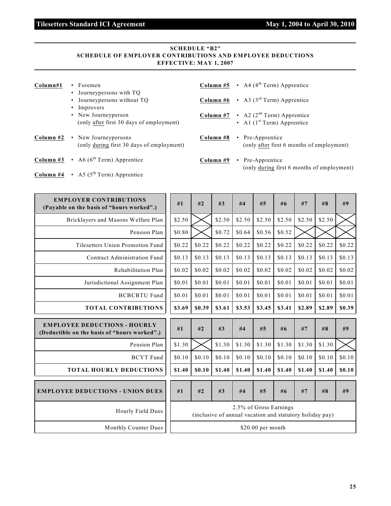### **Tilesetters Standard ICI Agreement May 1, 2004 to April 30, 2010**

### **SCHEDULE "B2" SCHEDULE OF EMPLOYER CONTRIBUTIONS AND EMPLOYEE DEDUCTIONS EFFECTIVE: MAY 1, 2007**

| Column#1  | • Foremen<br>• Journey persons with TQ<br>• Journey persons without TQ<br>• Improvers<br>• New Journeyperson<br>(only after first 30 days of employment) |           | <b>Column #5</b> $\cdot$ A4 (4 <sup>th</sup> Term) Apprentice<br><b>Column #6</b> $\cdot$ A3 (3 <sup>rd</sup> Term) Apprentice<br><b>Column #7</b> $\cdot$ A2 (2 <sup>nd</sup> Term) Apprentice<br>• Al $(1st Term)$ Apprentice |
|-----------|----------------------------------------------------------------------------------------------------------------------------------------------------------|-----------|---------------------------------------------------------------------------------------------------------------------------------------------------------------------------------------------------------------------------------|
| Column #2 | • New Journey persons<br>(only during first 30 days of employment)                                                                                       | Column #8 | • Pre-Apprentice<br>(only after first 6 months of employment)                                                                                                                                                                   |
|           | <b>Column #3</b> $\cdot$ A6 (6 <sup>th</sup> Term) Apprentice                                                                                            | Column #9 | • Pre-Apprentice<br>(only during first 6 months of employment)                                                                                                                                                                  |
|           | <b>Column #4</b> $\cdot$ A5 (5 <sup>th</sup> Term) Apprentice                                                                                            |           |                                                                                                                                                                                                                                 |

| <b>EMPLOYER CONTRIBUTIONS</b><br>(Payable on the basis of "hours worked".)          | #1     | #2     | #3                                                       | #4                     | #5     | #6     | #7     | #8     | #9     |
|-------------------------------------------------------------------------------------|--------|--------|----------------------------------------------------------|------------------------|--------|--------|--------|--------|--------|
| Bricklayers and Masons Welfare Plan                                                 | \$2.50 |        | \$2.50                                                   | \$2.50                 | \$2.50 | \$2.50 | \$2.50 | \$2.50 |        |
| Pension Plan                                                                        | \$0.80 |        | \$0.72                                                   | \$0.64                 | \$0.56 | \$0.52 |        |        |        |
| Tilesetters Union Promotion Fund                                                    | \$0.22 | \$0.22 | \$0.22                                                   | \$0.22                 | \$0.22 | \$0.22 | \$0.22 | \$0.22 | \$0.22 |
| Contract Administration Fund                                                        | \$0.13 | \$0.13 | \$0.13                                                   | \$0.13                 | \$0.13 | \$0.13 | \$0.13 | \$0.13 | \$0.13 |
| Rehabilitation Plan                                                                 | \$0.02 | \$0.02 | \$0.02                                                   | \$0.02                 | \$0.02 | \$0.02 | \$0.02 | \$0.02 | \$0.02 |
| Jurisdictional Assignment Plan                                                      | \$0.01 | \$0.01 | \$0.01                                                   | \$0.01                 | \$0.01 | \$0.01 | \$0.01 | \$0.01 | \$0.01 |
| <b>BCBCBTU Fund</b>                                                                 | \$0.01 | \$0.01 | \$0.01                                                   | \$0.01                 | \$0.01 | \$0.01 | \$0.01 | \$0.01 | \$0.01 |
| <b>TOTAL CONTRIBUTIONS</b>                                                          | \$3.69 | \$0.39 | \$3.61                                                   | \$3.53                 | \$3.45 | \$3.41 | \$2.89 | \$2.89 | \$0.39 |
|                                                                                     |        |        |                                                          |                        |        |        |        |        |        |
| <b>EMPLOYEE DEDUCTIONS - HOURLY</b><br>(Deductible on the basis of "hours worked".) | #1     | #2     | #3                                                       | #4                     | #5     | #6     | #7     | #8     | #9     |
| Pension Plan                                                                        | \$1.30 |        | \$1.30                                                   | \$1.30                 | \$1.30 | \$1.30 | \$1.30 | \$1.30 |        |
| <b>BCYT</b> Fund                                                                    | \$0.10 | \$0.10 | \$0.10                                                   | \$0.10                 | \$0.10 | \$0.10 | \$0.10 | \$0.10 | \$0.10 |
| <b>TOTAL HOURLY DEDUCTIONS</b>                                                      | \$1.40 | \$0.10 | \$1.40                                                   | \$1.40                 | \$1.40 | \$1.40 | \$1.40 | \$1.40 | \$0.10 |
| <b>EMPLOYEE DEDUCTIONS - UNION DUES</b>                                             | #1     | #2     | #3                                                       | #4                     | #5     | #6     | #7     | #8     | #9     |
| Hourly Field Dues                                                                   |        |        | (inclusive of annual vacation and statutory holiday pay) | 2.5% of Gross Earnings |        |        |        |        |        |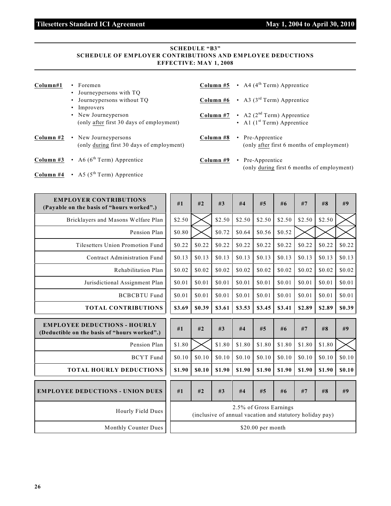### **Tilesetters Standard ICI Agreement May 1, 2004 to April 30, 2010**

### **SCHEDULE "B3" SCHEDULE OF EMPLOYER CONTRIBUTIONS AND EMPLOYEE DEDUCTIONS EFFECTIVE: MAY 1, 2008**

| Column#1  | Foremen<br>• Journey persons with TQ<br>• Journey persons without TO<br>• Improvers<br>• New Journeyperson<br>(only after first 30 days of employment) | <b>Column #5</b> $\cdot$ A4 (4 <sup>th</sup> Term) Apprentice<br><b>Column #6</b> $\cdot$ A3 (3 <sup>rd</sup> Term) Apprentice<br><b>Column #7</b> $\cdot$ A2 (2 <sup>nd</sup> Term) Apprentice<br>• Al $(1st Term)$ Apprentice |
|-----------|--------------------------------------------------------------------------------------------------------------------------------------------------------|---------------------------------------------------------------------------------------------------------------------------------------------------------------------------------------------------------------------------------|
| Column #2 | • New Journey persons<br>(only during first 30 days of employment)                                                                                     | Column #8<br>• Pre-Apprentice<br>(only after first 6 months of employment)                                                                                                                                                      |
|           | <b>Column #3</b> • A6 ( $6^{th}$ Term) Apprentice                                                                                                      | Column #9<br>• Pre-Apprentice<br>(only during first 6 months of employment)                                                                                                                                                     |
|           | <b>Column #4</b> • A5 ( $5^{\text{th}}$ Term) Apprentice                                                                                               |                                                                                                                                                                                                                                 |

| <b>EMPLOYER CONTRIBUTIONS</b><br>(Payable on the basis of "hours worked".)          | #1     | #2     | #3     | #4     | #5                     | #6     | #7                                                       | #8     | #9     |
|-------------------------------------------------------------------------------------|--------|--------|--------|--------|------------------------|--------|----------------------------------------------------------|--------|--------|
| Bricklayers and Masons Welfare Plan                                                 | \$2.50 |        | \$2.50 | \$2.50 | \$2.50                 | \$2.50 | \$2.50                                                   | \$2.50 |        |
| Pension Plan                                                                        | \$0.80 |        | \$0.72 | \$0.64 | \$0.56                 | \$0.52 |                                                          |        |        |
| Tilesetters Union Promotion Fund                                                    | \$0.22 | \$0.22 | \$0.22 | \$0.22 | \$0.22                 | \$0.22 | \$0.22                                                   | \$0.22 | \$0.22 |
| Contract Administration Fund                                                        | \$0.13 | \$0.13 | \$0.13 | \$0.13 | \$0.13                 | \$0.13 | \$0.13                                                   | \$0.13 | \$0.13 |
| Rehabilitation Plan                                                                 | \$0.02 | \$0.02 | \$0.02 | \$0.02 | \$0.02                 | \$0.02 | \$0.02                                                   | \$0.02 | \$0.02 |
| Jurisdictional Assignment Plan                                                      | \$0.01 | \$0.01 | \$0.01 | \$0.01 | \$0.01                 | \$0.01 | \$0.01                                                   | \$0.01 | \$0.01 |
| <b>BCBCBTU Fund</b>                                                                 | \$0.01 | \$0.01 | \$0.01 | \$0.01 | \$0.01                 | \$0.01 | \$0.01                                                   | \$0.01 | \$0.01 |
| <b>TOTAL CONTRIBUTIONS</b>                                                          | \$3.69 | \$0.39 | \$3.61 | \$3.53 | \$3.45                 | \$3.41 | \$2.89                                                   | \$2.89 | \$0.39 |
|                                                                                     |        |        |        |        |                        |        |                                                          |        |        |
| <b>EMPLOYEE DEDUCTIONS - HOURLY</b><br>(Deductible on the basis of "hours worked".) | #1     | #2     | #3     | #4     | #5                     | #6     | #7                                                       | #8     | #9     |
| Pension Plan                                                                        | \$1.80 |        | \$1.80 | \$1.80 | \$1.80                 | \$1.80 | \$1.80                                                   | \$1.80 |        |
| <b>BCYT</b> Fund                                                                    | \$0.10 | \$0.10 | \$0.10 | \$0.10 | \$0.10                 | \$0.10 | \$0.10                                                   | \$0.10 | \$0.10 |
| <b>TOTAL HOURLY DEDUCTIONS</b>                                                      | \$1.90 | \$0.10 | \$1.90 | \$1.90 | \$1.90                 | \$1.90 | \$1.90                                                   | \$1.90 | \$0.10 |
| <b>EMPLOYEE DEDUCTIONS - UNION DUES</b>                                             | #1     | #2     | #3     | #4     | #5                     | #6     | #7                                                       | #8     | #9     |
| Hourly Field Dues                                                                   |        |        |        |        | 2.5% of Gross Earnings |        | (inclusive of annual vacation and statutory holiday pay) |        |        |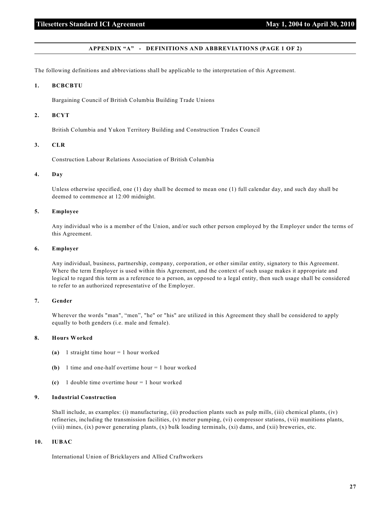#### **APPENDIX "A" - DEFINITIONS AND ABBREVIATIONS (PAGE 1 OF 2)**

The following definitions and abbreviations shall be applicable to the interpretation of this Agreement.

#### **1. BCBCBTU**

Bargaining Council of British Columbia Building Trade Unions

#### **2. BCYT**

British Columbia and Yukon Territory Building and Construction Trades Council

#### **3. CLR**

Construction Labour Relations Association of British Columbia

#### **4. Day**

Unless otherwise specified, one (1) day shall be deemed to mean one (1) full calendar day, and such day shall be deemed to commence at 12:00 midnight.

#### **5. Employee**

Any individual who is a member of the Union, and/or such other person employed by the Employer under the terms of this Agreement.

#### **6. Employer**

Any individual, business, partnership, company, corporation, or other similar entity, signatory to this Agreement. Where the term Employer is used within this Agreement, and the context of such usage makes it appropriate and logical to regard this term as a reference to a person, as opposed to a legal entity, then such usage shall be considered to refer to an authorized representative of the Employer.

#### **7. Gender**

Wherever the words "man", "men", "he" or "his" are utilized in this Agreement they shall be considered to apply equally to both genders (i.e. male and female).

#### **8. Hours Worked**

- **(a)** 1 straight time hour = 1 hour worked
- **(b)** 1 time and one-half overtime hour = 1 hour worked
- **(c)** 1 double time overtime hour = 1 hour worked

#### **9. Industrial Construction**

Shall include, as examples: (i) manufacturing, (ii) production plants such as pulp mills, (iii) chemical plants, (iv) refineries, including the transmission facilities, (v) meter pumping, (vi) compressor stations, (vii) munitions plants, (viii) mines, (ix) power generating plants, (x) bulk loading terminals, (xi) dams, and (xii) breweries, etc.

#### **10. IUBAC**

International Union of Bricklayers and Allied Craftworkers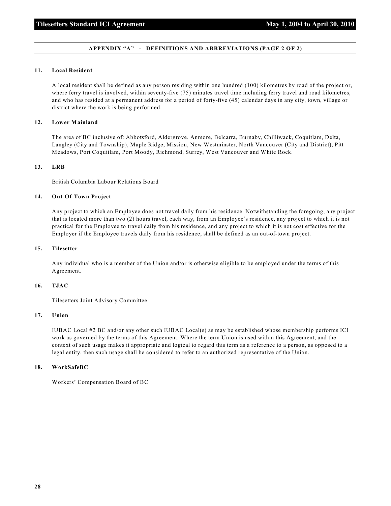#### **APPENDIX "A" - DEFINITIONS AND ABBREVIATIONS (PAGE 2 OF 2)**

#### **11. Local Resident**

A local resident shall be defined as any person residing within one hundred (100) kilometres by road of the project or, where ferry travel is involved, within seventy-five (75) minutes travel time including ferry travel and road kilometres, and who has resided at a permanent address for a period of forty-five (45) calendar days in any city, town, village or district where the work is being performed.

#### **12. Lower Mainland**

The area of BC inclusive of: Abbotsford, Aldergrove, Anmore, Belcarra, Burnaby, Chilliwack, Coquitlam, Delta, Langley (City and Township), Maple Ridge, Mission, New Westminster, North Vancouver (City and District), Pitt Meadows, Port Coquitlam, Port Moody, Richmond, Surrey, West Vancouver and White Rock.

#### **13. LRB**

British Columbia Labour Relations Board

#### **14. Out-Of-Town Project**

Any project to which an Employee does not travel daily from his residence. Notwithstanding the foregoing, any project that is located more than two (2) hours travel, each way, from an Employee's residence, any project to which it is not practical for the Employee to travel daily from his residence, and any project to which it is not cost effective for the Employer if the Employee travels daily from his residence, shall be defined as an out-of-town project.

#### **15. Tilesetter**

Any individual who is a member of the Union and/or is otherwise eligible to be employed under the terms of this Agreement.

#### **16. TJAC**

Tilesetters Joint Advisory Committee

#### **17. Union**

IUBAC Local #2 BC and/or any other such IUBAC Local(s) as may be established whose membership performs ICI work as governed by the terms of this Agreement. Where the term Union is used within this Agreement, and the context of such usage makes it appropriate and logical to regard this term as a reference to a person, as opposed to a legal entity, then such usage shall be considered to refer to an authorized representative of the Union.

#### **18. WorkSafeBC**

Workers' Compensation Board of BC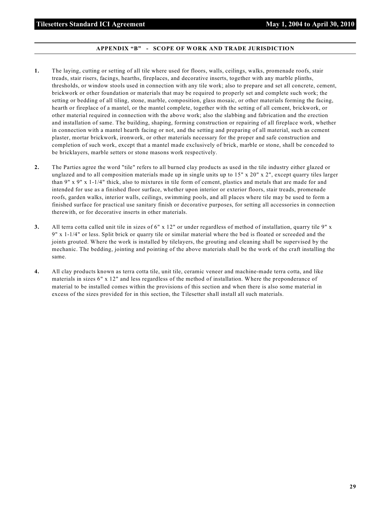#### **APPENDIX "B" - SCOPE OF WORK AND TRADE JURISDICTION**

- **1.** The laying, cutting or setting of all tile where used for floors, walls, ceilings, walks, promenade roofs, stair treads, stair risers, facings, hearths, fireplaces, and decorative inserts, together with any marble plinths, thresholds, or window stools used in connection with any tile work; also to prepare and set all concrete, cement, brickwork or other foundation or materials that may be required to properly set and complete such work; the setting or bedding of all tiling, stone, marble, composition, glass mosaic, or other materials forming the facing, hearth or fireplace of a mantel, or the mantel complete, together with the setting of all cement, brickwork, or other material required in connection with the above work; also the slabbing and fabrication and the erection and installation of same. The building, shaping, forming construction or repairing of all fireplace work, whether in connection with a mantel hearth facing or not, and the setting and preparing of all material, such as cement plaster, mortar brickwork, ironwork, or other materials necessary for the proper and safe construction and completion of such work, except that a mantel made exclusively of brick, marble or stone, shall be conceded to be bricklayers, marble setters or stone masons work respectively.
- **2.** The Parties agree the word "tile" refers to all burned clay products as used in the tile industry either glazed or unglazed and to all composition materials made up in single units up to 15" x 20" x 2", except quarry tiles larger than 9" x 9" x 1-1/4" thick, also to mixtures in tile form of cement, plastics and metals that are made for and intended for use as a finished floor surface, whether upon interior or exterior floors, stair treads, promenade roofs, garden walks, interior walls, ceilings, swimming pools, and all places where tile may be used to form a finished surface for practical use sanitary finish or decorative purposes, for setting all accessories in connection therewith, or for decorative inserts in other materials.
- **3.** All terra cotta called unit tile in sizes of 6" x 12" or under regardless of method of installation, quarry tile 9" x 9" x 1-1/4" or less. Split brick or quarry tile or similar material where the bed is floated or screeded and the joints grouted. Where the work is installed by tilelayers, the grouting and cleaning shall be supervised by the mechanic. The bedding, jointing and pointing of the above materials shall be the work of the craft installing the same.
- **4.** All clay products known as terra cotta tile, unit tile, ceramic veneer and machine-made terra cotta, and like materials in sizes 6" x 12" and less regardless of the method of installation. Where the preponderance of material to be installed comes within the provisions of this section and when there is also some material in excess of the sizes provided for in this section, the Tilesetter shall install all such materials.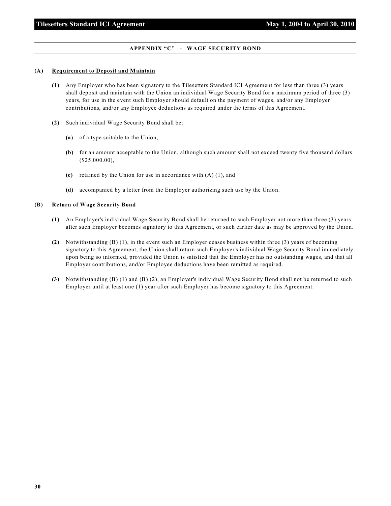#### **APPENDIX "C" - WAGE SECURITY BOND**

#### **(A) Requirement to Deposit and Maintain**

- **(1)** Any Employer who has been signatory to the Tilesetters Standard ICI Agreement for less than three (3) years shall deposit and maintain with the Union an individual Wage Security Bond for a maximum period of three (3) years, for use in the event such Employer should default on the payment of wages, and/or any Employer contributions, and/or any Employee deductions as required under the terms of this Agreement.
- **(2)** Such individual Wage Security Bond shall be:
	- **(a)** of a type suitable to the Union,
	- **(b)** for an amount acceptable to the Union, although such amount shall not exceed twenty five thousand dollars (\$25,000.00),
	- **(c)** retained by the Union for use in accordance with (A) (1), and
	- **(d)** accompanied by a letter from the Employer authorizing such use by the Union.

#### **(B) Return of Wage Security Bond**

- **(1)** An Employer's individual Wage Security Bond shall be returned to such Employer not more than three (3) years after such Employer becomes signatory to this Agreement, or such earlier date as may be approved by the Union.
- **(2)** Notwithstanding (B) (1), in the event such an Employer ceases business within three (3) years of becoming signatory to this Agreement, the Union shall return such Employer's individual Wage Security Bond immediately upon being so informed, provided the Union is satisfied that the Employer has no outstanding wages, and that all Employer contributions, and/or Employee deductions have been remitted as required.
- **(3)** Notwithstanding (B) (1) and (B) (2), an Employer's individual Wage Security Bond shall not be returned to such Employer until at least one (1) year after such Employer has become signatory to this Agreement.